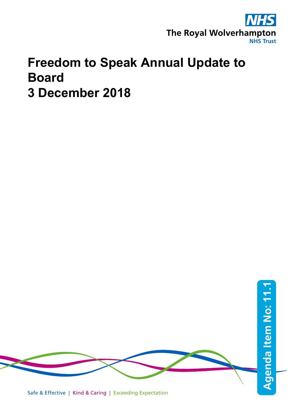

## **Freedom to Speak Annual Update to Board 3 December 2018**

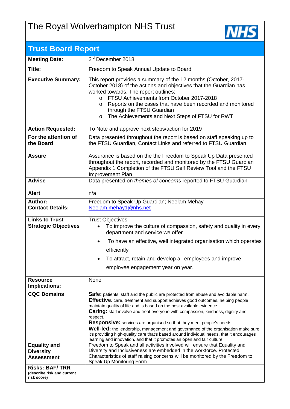## The Royal Wolverhampton NHS Trust



| <b>Trust Board Report</b>                                          |                                                                                                                                                                                                                                                                                                                                                                                                                                                                                                                                                                                                                                                                                                                                                                             |  |  |  |  |
|--------------------------------------------------------------------|-----------------------------------------------------------------------------------------------------------------------------------------------------------------------------------------------------------------------------------------------------------------------------------------------------------------------------------------------------------------------------------------------------------------------------------------------------------------------------------------------------------------------------------------------------------------------------------------------------------------------------------------------------------------------------------------------------------------------------------------------------------------------------|--|--|--|--|
| <b>Meeting Date:</b>                                               | 3 <sup>rd</sup> December 2018                                                                                                                                                                                                                                                                                                                                                                                                                                                                                                                                                                                                                                                                                                                                               |  |  |  |  |
| Title:                                                             | Freedom to Speak Annual Update to Board                                                                                                                                                                                                                                                                                                                                                                                                                                                                                                                                                                                                                                                                                                                                     |  |  |  |  |
| <b>Executive Summary:</b>                                          | This report provides a summary of the 12 months (October, 2017-<br>October 2018) of the actions and objectives that the Guardian has<br>worked towards. The report outlines;<br>FTSU Achievements from October 2017-2018<br>$\Omega$<br>Reports on the cases that have been recorded and monitored<br>$\circ$<br>through the FTSU Guardian<br>The Achievements and Next Steps of FTSU for RWT<br>O                                                                                                                                                                                                                                                                                                                                                                          |  |  |  |  |
| <b>Action Requested:</b>                                           | To Note and approve next steps/action for 2019                                                                                                                                                                                                                                                                                                                                                                                                                                                                                                                                                                                                                                                                                                                              |  |  |  |  |
| For the attention of<br>the Board                                  | Data presented throughout the report is based on staff speaking up to<br>the FTSU Guardian, Contact Links and referred to FTSU Guardian                                                                                                                                                                                                                                                                                                                                                                                                                                                                                                                                                                                                                                     |  |  |  |  |
| <b>Assure</b>                                                      | Assurance is based on the the Freedom to Speak Up Data presented<br>throughout the report, recorded and monitored by the FTSU Guardian<br>Appendix 1 Completion of the FTSU Self Review Tool and the FTSU<br>Improvement Plan                                                                                                                                                                                                                                                                                                                                                                                                                                                                                                                                               |  |  |  |  |
| <b>Advise</b>                                                      | Data presented on themes of concerns reported to FTSU Guardian                                                                                                                                                                                                                                                                                                                                                                                                                                                                                                                                                                                                                                                                                                              |  |  |  |  |
| <b>Alert</b>                                                       | n/a                                                                                                                                                                                                                                                                                                                                                                                                                                                                                                                                                                                                                                                                                                                                                                         |  |  |  |  |
| Author:<br><b>Contact Details:</b>                                 | Freedom to Speak Up Guardian; Neelam Mehay<br>Neelam.mehay1@nhs.net                                                                                                                                                                                                                                                                                                                                                                                                                                                                                                                                                                                                                                                                                                         |  |  |  |  |
| <b>Links to Trust</b><br><b>Strategic Objectives</b>               | <b>Trust Objectives</b><br>To improve the culture of compassion, safety and quality in every<br>department and service we offer<br>To have an effective, well integrated organisation which operates<br>efficiently<br>• To attract, retain and develop all employees and improve                                                                                                                                                                                                                                                                                                                                                                                                                                                                                           |  |  |  |  |
|                                                                    | employee engagement year on year.                                                                                                                                                                                                                                                                                                                                                                                                                                                                                                                                                                                                                                                                                                                                           |  |  |  |  |
| <b>Resource</b><br>Implications:                                   | None                                                                                                                                                                                                                                                                                                                                                                                                                                                                                                                                                                                                                                                                                                                                                                        |  |  |  |  |
| <b>CQC Domains</b><br><b>Equality and</b>                          | Safe: patients, staff and the public are protected from abuse and avoidable harm.<br>Effective: care, treatment and support achieves good outcomes, helping people<br>maintain quality of life and is based on the best available evidence.<br><b>Caring:</b> staff involve and treat everyone with compassion, kindness, dignity and<br>respect.<br>Responsive: services are organised so that they meet people's needs.<br><b>Well-led:</b> the leadership, management and governance of the organisation make sure<br>it's providing high-quality care that's based around individual needs, that it encourages<br>learning and innovation, and that it promotes an open and fair culture.<br>Freedom to Speak and all activities involved will ensure that Equality and |  |  |  |  |
| <b>Diversity</b><br><b>Assessment</b>                              | Diversity and Inclusiveness are embedded in the workforce. Protected<br>Characteristics of staff raising concerns will be monitored by the Freedom to<br>Speak Up Monitoring Form                                                                                                                                                                                                                                                                                                                                                                                                                                                                                                                                                                                           |  |  |  |  |
| <b>Risks: BAF/TRR</b><br>(describe risk and current<br>risk score) |                                                                                                                                                                                                                                                                                                                                                                                                                                                                                                                                                                                                                                                                                                                                                                             |  |  |  |  |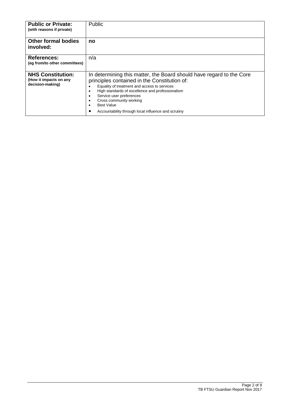| <b>Public or Private:</b><br>(with reasons if private)                 | Public                                                                                                                                                                                                                                                                                                                                                                                               |
|------------------------------------------------------------------------|------------------------------------------------------------------------------------------------------------------------------------------------------------------------------------------------------------------------------------------------------------------------------------------------------------------------------------------------------------------------------------------------------|
| <b>Other formal bodies</b><br>involved:                                | no                                                                                                                                                                                                                                                                                                                                                                                                   |
| <b>References:</b><br>(eq from/to other committees)                    | n/a                                                                                                                                                                                                                                                                                                                                                                                                  |
| <b>NHS Constitution:</b><br>(How it impacts on any<br>decision-making) | In determining this matter, the Board should have regard to the Core<br>principles contained in the Constitution of:<br>Equality of treatment and access to services<br>$\bullet$<br>High standards of excellence and professionalism<br>٠<br>Service user preferences<br>٠<br>Cross community working<br>٠<br><b>Best Value</b><br>$\bullet$<br>Accountability through local influence and scrutiny |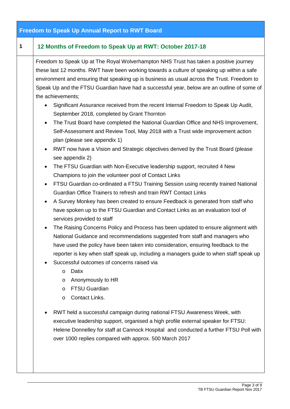| <b>Freedom to Speak Up Annual Report to RWT Board</b> |                                                                                                                                                                                                                                                                                                                                                                                                                                                                                                                                                                                                                                                                                                                                                                                                                                                                                                                                                                                                                                                                                                                                                                                                                                                                                                                                                                                                                                                                                                                                                                                                                                                                                                                                                                                                                                                                                                                                                                                                                                                                                                                                                                                                                                                                           |  |  |  |
|-------------------------------------------------------|---------------------------------------------------------------------------------------------------------------------------------------------------------------------------------------------------------------------------------------------------------------------------------------------------------------------------------------------------------------------------------------------------------------------------------------------------------------------------------------------------------------------------------------------------------------------------------------------------------------------------------------------------------------------------------------------------------------------------------------------------------------------------------------------------------------------------------------------------------------------------------------------------------------------------------------------------------------------------------------------------------------------------------------------------------------------------------------------------------------------------------------------------------------------------------------------------------------------------------------------------------------------------------------------------------------------------------------------------------------------------------------------------------------------------------------------------------------------------------------------------------------------------------------------------------------------------------------------------------------------------------------------------------------------------------------------------------------------------------------------------------------------------------------------------------------------------------------------------------------------------------------------------------------------------------------------------------------------------------------------------------------------------------------------------------------------------------------------------------------------------------------------------------------------------------------------------------------------------------------------------------------------------|--|--|--|
| $\mathbf 1$                                           | 12 Months of Freedom to Speak Up at RWT: October 2017-18                                                                                                                                                                                                                                                                                                                                                                                                                                                                                                                                                                                                                                                                                                                                                                                                                                                                                                                                                                                                                                                                                                                                                                                                                                                                                                                                                                                                                                                                                                                                                                                                                                                                                                                                                                                                                                                                                                                                                                                                                                                                                                                                                                                                                  |  |  |  |
|                                                       | Freedom to Speak Up at The Royal Wolverhampton NHS Trust has taken a positive journey<br>these last 12 months. RWT have been working towards a culture of speaking up within a safe<br>environment and ensuring that speaking up is business as usual across the Trust. Freedom to<br>Speak Up and the FTSU Guardian have had a successful year, below are an outline of some of<br>the achievements;<br>Significant Assurance received from the recent Internal Freedom to Speak Up Audit,<br>September 2018, completed by Grant Thornton<br>The Trust Board have completed the National Guardian Office and NHS Improvement,<br>$\bullet$<br>Self-Assessment and Review Tool, May 2018 with a Trust wide improvement action<br>plan (please see appendix 1)<br>RWT now have a Vision and Strategic objectives derived by the Trust Board (please<br>$\bullet$<br>see appendix 2)<br>The FTSU Guardian with Non-Executive leadership support, recruited 4 New<br>$\bullet$<br>Champions to join the volunteer pool of Contact Links<br>FTSU Guardian co-ordinated a FTSU Training Session using recently trained National<br>$\bullet$<br>Guardian Office Trainers to refresh and train RWT Contact Links<br>A Survey Monkey has been created to ensure Feedback is generated from staff who<br>$\bullet$<br>have spoken up to the FTSU Guardian and Contact Links as an evaluation tool of<br>services provided to staff<br>The Raising Concerns Policy and Process has been updated to ensure alignment with<br>$\bullet$<br>National Guidance and recommendations suggested from staff and managers who<br>have used the policy have been taken into consideration, ensuring feedback to the<br>reporter is key when staff speak up, including a managers guide to when staff speak up<br>Successful outcomes of concerns raised via<br>Datix<br>$\circ$<br>Anonymously to HR<br>$\circ$<br>FTSU Guardian<br>$\circ$<br>Contact Links.<br>$\circ$<br>RWT held a successful campaign during national FTSU Awareness Week, with<br>executive leadership support, organised a high profile external speaker for FTSU:<br>Helene Donnelley for staff at Cannock Hospital and conducted a further FTSU Poll with<br>over 1000 replies compared with approx. 500 March 2017 |  |  |  |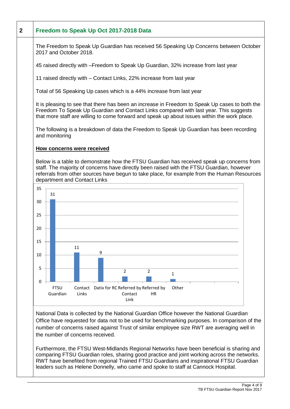

National Data is collected by the National Guardian Office however the National Guardian Office have requested for data not to be used for benchmarking purposes. In comparison of the number of concerns raised against Trust of similar employee size RWT are averaging well in the number of concerns received.

Furthermore, the FTSU West-Midlands Regional Networks have been beneficial is sharing and comparing FTSU Guardian roles, sharing good practice and joint working across the networks. RWT have benefited from regional Trained FTSU Guardians and inspirational FTSU Guardian leaders such as Helene Donnelly, who came and spoke to staff at Cannock Hospital.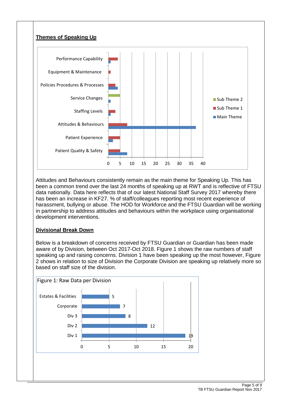

Attitudes and Behaviours consistently remain as the main theme for Speaking Up. This has been a common trend over the last 24 months of speaking up at RWT and is reflective of FTSU data nationally. Data here reflects that of our latest National Staff Survey 2017 whereby there has been an increase in KF27. % of staff/colleagues reporting most recent experience of harassment, bullying or abuse. The HOD for Workforce and the FTSU Guardian will be working in partnership to address attitudes and behaviours within the workplace using organisational development interventions.

#### **Divisional Break Down**

Below is a breakdown of concerns received by FTSU Guardian or Guardian has been made aware of by Division, between Oct 2017-Oct 2018. Figure 1 shows the raw numbers of staff speaking up and raising concerns. Division 1 have been speaking up the most however, Figure 2 shows in relation to size of Division the Corporate Division are speaking up relatively more so based on staff size of the division.

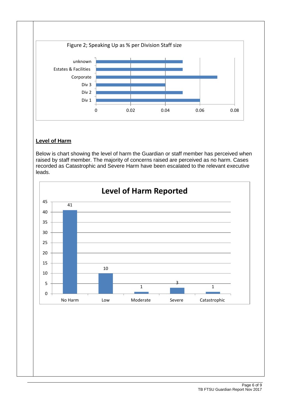

#### **Level of Harm**

Below is chart showing the level of harm the Guardian or staff member has perceived when raised by staff member. The majority of concerns raised are perceived as no harm. Cases recorded as Catastrophic and Severe Harm have been escalated to the relevant executive leads.

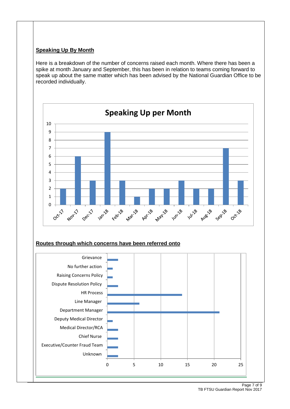#### **Speaking Up By Month**

Here is a breakdown of the number of concerns raised each month. Where there has been a spike at month January and September, this has been in relation to teams coming forward to speak up about the same matter which has been advised by the National Guardian Office to be recorded individually.



#### **Routes through which concerns have been referred onto**

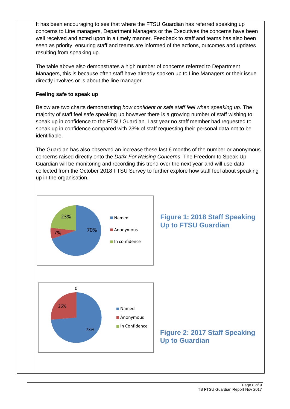It has been encouraging to see that where the FTSU Guardian has referred speaking up concerns to Line managers, Department Managers or the Executives the concerns have been well received and acted upon in a timely manner. Feedback to staff and teams has also been seen as priority, ensuring staff and teams are informed of the actions, outcomes and updates resulting from speaking up.

The table above also demonstrates a high number of concerns referred to Department Managers, this is because often staff have already spoken up to Line Managers or their issue directly involves or is about the line manager.

#### **Feeling safe to speak up**

Below are two charts demonstrating *how confident or safe staff feel when speaking up*. The majority of staff feel safe speaking up however there is a growing number of staff wishing to speak up in confidence to the FTSU Guardian. Last year no staff member had requested to speak up in confidence compared with 23% of staff requesting their personal data not to be identifiable.

The Guardian has also observed an increase these last 6 months of the number or anonymous concerns raised directly onto the *Datix-For Raising Concerns*. The Freedom to Speak Up Guardian will be monitoring and recording this trend over the next year and will use data collected from the October 2018 FTSU Survey to further explore how staff feel about speaking up in the organisation.

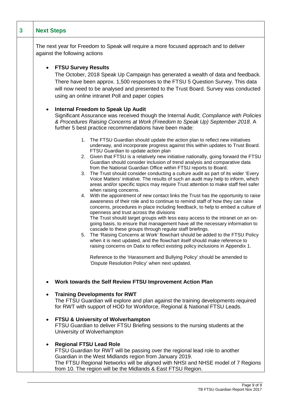| 3 | <b>Next Steps</b>                                                                                                                                                                                                                                                                                                                                                                                                                                                                                                                                                                                                                                                                                                                                                                                                                                                                                                                                                                                                                                                                                                                                                                                                                                                                                                                                                                                                                                                                                                                                                                                                                                           |  |  |  |  |  |  |
|---|-------------------------------------------------------------------------------------------------------------------------------------------------------------------------------------------------------------------------------------------------------------------------------------------------------------------------------------------------------------------------------------------------------------------------------------------------------------------------------------------------------------------------------------------------------------------------------------------------------------------------------------------------------------------------------------------------------------------------------------------------------------------------------------------------------------------------------------------------------------------------------------------------------------------------------------------------------------------------------------------------------------------------------------------------------------------------------------------------------------------------------------------------------------------------------------------------------------------------------------------------------------------------------------------------------------------------------------------------------------------------------------------------------------------------------------------------------------------------------------------------------------------------------------------------------------------------------------------------------------------------------------------------------------|--|--|--|--|--|--|
|   | The next year for Freedom to Speak will require a more focused approach and to deliver<br>against the following actions                                                                                                                                                                                                                                                                                                                                                                                                                                                                                                                                                                                                                                                                                                                                                                                                                                                                                                                                                                                                                                                                                                                                                                                                                                                                                                                                                                                                                                                                                                                                     |  |  |  |  |  |  |
|   | <b>FTSU Survey Results</b><br>$\bullet$<br>The October, 2018 Speak Up Campaign has generated a wealth of data and feedback.<br>There have been approx. 1,500 responses to the FTSU 5 Question Survey. This data<br>will now need to be analysed and presented to the Trust Board. Survey was conducted<br>using an online intranet Poll and paper copies                                                                                                                                                                                                                                                                                                                                                                                                                                                                                                                                                                                                                                                                                                                                                                                                                                                                                                                                                                                                                                                                                                                                                                                                                                                                                                    |  |  |  |  |  |  |
|   | <b>Internal Freedom to Speak Up Audit</b><br>$\bullet$<br>Significant Assurance was received though the Internal Audit; Compliance with Policies<br>& Procedures Raising Concerns at Work (Freedom to Speak Up) September 2018. A<br>further 5 best practice recommendations have been made:                                                                                                                                                                                                                                                                                                                                                                                                                                                                                                                                                                                                                                                                                                                                                                                                                                                                                                                                                                                                                                                                                                                                                                                                                                                                                                                                                                |  |  |  |  |  |  |
|   | 1. The FTSU Guardian should update the action plan to reflect new initiatives<br>underway, and incorporate progress against this within updates to Trust Board.<br>FTSU Guardian to update action plan<br>2. Given that FTSU is a relatively new initiative nationally, going forward the FTSU<br>Guardian should consider inclusion of trend analysis and comparative data<br>from the National Guardian Office within FTSU reports to Board.<br>3. The Trust should consider conducting a culture audit as part of its wider 'Every<br>Voice Matters' initiative. The results of such an audit may help to inform, which<br>areas and/or specific topics may require Trust attention to make staff feel safer<br>when raising concerns.<br>4. With the appointment of new contact links the Trust has the opportunity to raise<br>awareness of their role and to continue to remind staff of how they can raise<br>concerns, procedures in place including feedback, to help to embed a culture of<br>openness and trust across the divisions<br>The Trust should target groups with less easy access to the intranet on an on-<br>going basis, to ensure that management have all the necessary information to<br>cascade to these groups through regular staff briefings.<br>5. The 'Raising Concerns at Work' flowchart should be added to the FTSU Policy<br>when it is next updated, and the flowchart itself should make reference to<br>raising concerns on Datix to reflect existing policy inclusions in Appendix 1.<br>Reference to the 'Harassment and Bullying Policy' should be amended to<br>'Dispute Resolution Policy' when next updated. |  |  |  |  |  |  |
|   | Work towards the Self Review FTSU Improvement Action Plan<br>$\bullet$                                                                                                                                                                                                                                                                                                                                                                                                                                                                                                                                                                                                                                                                                                                                                                                                                                                                                                                                                                                                                                                                                                                                                                                                                                                                                                                                                                                                                                                                                                                                                                                      |  |  |  |  |  |  |
|   | <b>Training Developments for RWT</b><br>$\bullet$<br>The FTSU Guardian will explore and plan against the training developments required<br>for RWT with support of HOD for Workforce, Regional & National FTSU Leads.                                                                                                                                                                                                                                                                                                                                                                                                                                                                                                                                                                                                                                                                                                                                                                                                                                                                                                                                                                                                                                                                                                                                                                                                                                                                                                                                                                                                                                       |  |  |  |  |  |  |
|   | FTSU & University of Wolverhampton<br>$\bullet$<br>FTSU Guardian to deliver FTSU Briefing sessions to the nursing students at the<br>University of Wolverhampton                                                                                                                                                                                                                                                                                                                                                                                                                                                                                                                                                                                                                                                                                                                                                                                                                                                                                                                                                                                                                                                                                                                                                                                                                                                                                                                                                                                                                                                                                            |  |  |  |  |  |  |
|   | <b>Regional FTSU Lead Role</b><br>$\bullet$<br>FTSU Guardian for RWT will be passing over the regional lead role to another<br>Guardian in the West Midlands region from January 2019.<br>The FTSU Regional Networks will be aligned with NHSI and NHSE model of 7 Regions<br>from 10. The region will be the Midlands & East FTSU Region.                                                                                                                                                                                                                                                                                                                                                                                                                                                                                                                                                                                                                                                                                                                                                                                                                                                                                                                                                                                                                                                                                                                                                                                                                                                                                                                  |  |  |  |  |  |  |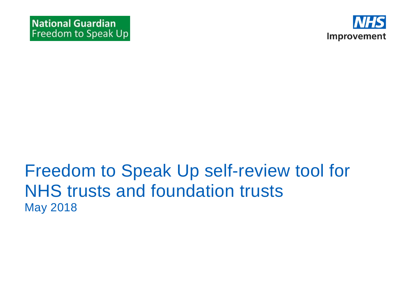

# Freedom to Speak Up self-review tool for NHS trusts and foundation trusts May 2018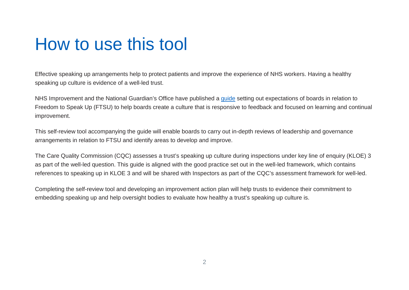# How to use this tool

Effective speaking up arrangements help to protect patients and improve the experience of NHS workers. Having a healthy speaking up culture is evidence of a well-led trust.

NHS Improvement and the National Guardian's Office have published a [guide](https://improvement.nhs.uk/resources/freedom-speak-guidance-nhs-trust-and-nhs-foundation-trust-boards) setting out expectations of boards in relation to Freedom to Speak Up (FTSU) to help boards create a culture that is responsive to feedback and focused on learning and continual improvement.

This self-review tool accompanying the guide will enable boards to carry out in-depth reviews of leadership and governance arrangements in relation to FTSU and identify areas to develop and improve.

The Care Quality Commission (CQC) assesses a trust's speaking up culture during inspections under key line of enquiry (KLOE) 3 as part of the well-led question. This guide is aligned with the good practice set out in the well-led framework, which contains references to speaking up in KLOE 3 and will be shared with Inspectors as part of the CQC's assessment framework for well-led.

Completing the self-review tool and developing an improvement action plan will help trusts to evidence their commitment to embedding speaking up and help oversight bodies to evaluate how healthy a trust's speaking up culture is.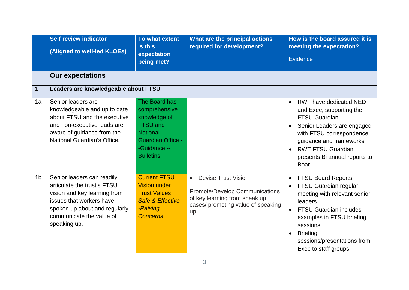|                | <b>Self review indicator</b><br>(Aligned to well-led KLOEs)                                                                                                                                        | To what extent<br>is this<br>expectation<br>being met?                                                                                               | What are the principal actions<br>required for development?                                                                                                   | How is the board assured it is<br>meeting the expectation?<br>Evidence                                                                                                                                                                                                      |
|----------------|----------------------------------------------------------------------------------------------------------------------------------------------------------------------------------------------------|------------------------------------------------------------------------------------------------------------------------------------------------------|---------------------------------------------------------------------------------------------------------------------------------------------------------------|-----------------------------------------------------------------------------------------------------------------------------------------------------------------------------------------------------------------------------------------------------------------------------|
|                | <b>Our expectations</b>                                                                                                                                                                            |                                                                                                                                                      |                                                                                                                                                               |                                                                                                                                                                                                                                                                             |
| $\mathbf 1$    | Leaders are knowledgeable about FTSU                                                                                                                                                               |                                                                                                                                                      |                                                                                                                                                               |                                                                                                                                                                                                                                                                             |
| 1a             | Senior leaders are<br>knowledgeable and up to date<br>about FTSU and the executive<br>and non-executive leads are<br>aware of guidance from the<br>National Guardian's Office.                     | The Board has<br>comprehensive<br>knowledge of<br><b>FTSU and</b><br><b>National</b><br><b>Guardian Office -</b><br>-Guidance --<br><b>Bulletins</b> |                                                                                                                                                               | <b>RWT</b> have dedicated NED<br>$\bullet$<br>and Exec, supporting the<br><b>FTSU Guardian</b><br>Senior Leaders are engaged<br>with FTSU correspondence,<br>guidance and frameworks<br><b>RWT FTSU Guardian</b><br>presents Bi annual reports to<br>Boar                   |
| 1 <sub>b</sub> | Senior leaders can readily<br>articulate the trust's FTSU<br>vision and key learning from<br>issues that workers have<br>spoken up about and regularly<br>communicate the value of<br>speaking up. | <b>Current FTSU</b><br><b>Vision under</b><br><b>Trust Values</b><br><b>Safe &amp; Effective</b><br>-Raising<br><b>Concerns</b>                      | <b>Devise Trust Vision</b><br>$\bullet$<br><b>Promote/Develop Communications</b><br>of key learning from speak up<br>cases/ promoting value of speaking<br>up | <b>FTSU Board Reports</b><br>$\bullet$<br>FTSU Guardian regular<br>meeting with relevant senior<br>leaders<br><b>FTSU Guardian includes</b><br>examples in FTSU briefing<br>sessions<br><b>Briefing</b><br>$\bullet$<br>sessions/presentations from<br>Exec to staff groups |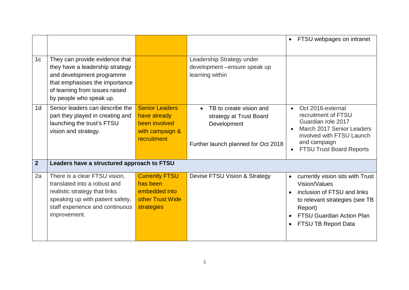|                |                                                                                                                                                                                               |                                                                                          |                                                                                                                       | FTSU webpages on intranet<br>$\bullet$                                                                                                                                                                             |
|----------------|-----------------------------------------------------------------------------------------------------------------------------------------------------------------------------------------------|------------------------------------------------------------------------------------------|-----------------------------------------------------------------------------------------------------------------------|--------------------------------------------------------------------------------------------------------------------------------------------------------------------------------------------------------------------|
| 1 <sub>c</sub> | They can provide evidence that<br>they have a leadership strategy<br>and development programme<br>that emphasises the importance<br>of learning from issues raised<br>by people who speak up. |                                                                                          | Leadership Strategy under<br>development - ensure speak up<br>learning within                                         |                                                                                                                                                                                                                    |
| 1 <sub>d</sub> | Senior leaders can describe the<br>part they played in creating and<br>launching the trust's FTSU<br>vision and strategy.                                                                     | <b>Senior Leaders</b><br>have already<br>been involved<br>with campaign &<br>recruitment | TB to create vision and<br>$\bullet$<br>strategy at Trust Board<br>Development<br>Further launch planned for Oct 2018 | Oct 2016-external<br>$\bullet$<br>recruitment of FTSU<br>Guardian role 2017<br>March 2017 Senior Leaders<br>$\bullet$<br>involved with FTSU Launch<br>and campaign<br><b>FTSU Trust Board Reports</b><br>$\bullet$ |
| $\overline{2}$ | Leaders have a structured approach to FTSU                                                                                                                                                    |                                                                                          |                                                                                                                       |                                                                                                                                                                                                                    |
| 2a             | There is a clear FTSU vision,<br>translated into a robust and<br>realistic strategy that links<br>speaking up with patient safety,<br>staff experience and continuous<br>improvement.         | <b>Currently FTSU</b><br>has been<br>embedded into<br>other Trust Wide<br>strategies     | Devise FTSU Vision & Strategy                                                                                         | currently vision sits with Trust<br>$\bullet$<br>Vision/Values<br>inclusion of FTSU and links<br>to relevant strategies (see TB<br>Report)<br><b>FTSU Guardian Action Plan</b><br>FTSU TB Report Data              |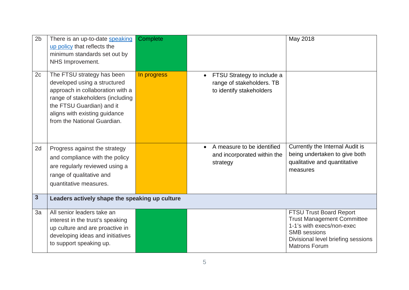| 2 <sub>b</sub> | There is an up-to-date speaking<br>up policy that reflects the<br>minimum standards set out by<br>NHS Improvement.                                                                                                              | Complete    |                                                                                                  | May 2018                                                                                                                                                                              |
|----------------|---------------------------------------------------------------------------------------------------------------------------------------------------------------------------------------------------------------------------------|-------------|--------------------------------------------------------------------------------------------------|---------------------------------------------------------------------------------------------------------------------------------------------------------------------------------------|
| 2c             | The FTSU strategy has been<br>developed using a structured<br>approach in collaboration with a<br>range of stakeholders (including<br>the FTSU Guardian) and it<br>aligns with existing guidance<br>from the National Guardian. | In progress | FTSU Strategy to include a<br>$\bullet$<br>range of stakeholders. TB<br>to identify stakeholders |                                                                                                                                                                                       |
| 2d             | Progress against the strategy<br>and compliance with the policy<br>are regularly reviewed using a<br>range of qualitative and<br>quantitative measures.                                                                         |             | A measure to be identified<br>$\bullet$<br>and incorporated within the<br>strategy               | Currently the Internal Audit is<br>being undertaken to give both<br>qualitative and quantitative<br>measures                                                                          |
| $\overline{3}$ | Leaders actively shape the speaking up culture                                                                                                                                                                                  |             |                                                                                                  |                                                                                                                                                                                       |
| 3a             | All senior leaders take an<br>interest in the trust's speaking<br>up culture and are proactive in<br>developing ideas and initiatives<br>to support speaking up.                                                                |             |                                                                                                  | <b>FTSU Trust Board Report</b><br><b>Trust Management Committee</b><br>1-1's with execs/non-exec<br><b>SMB</b> sessions<br>Divisional level briefing sessions<br><b>Matrons Forum</b> |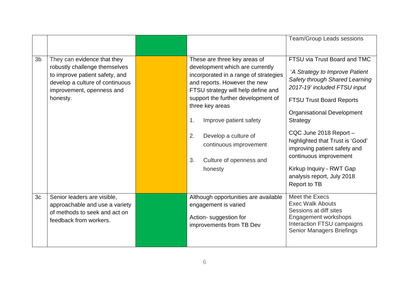|                |                                                                                                                                                                            |                                                                                                                                                                                                                                                                                                                                                                             | <b>Team/Group Leads sessions</b>                                                                                                                                                                                                                                                                                                                                                                                       |
|----------------|----------------------------------------------------------------------------------------------------------------------------------------------------------------------------|-----------------------------------------------------------------------------------------------------------------------------------------------------------------------------------------------------------------------------------------------------------------------------------------------------------------------------------------------------------------------------|------------------------------------------------------------------------------------------------------------------------------------------------------------------------------------------------------------------------------------------------------------------------------------------------------------------------------------------------------------------------------------------------------------------------|
| 3b             | They can evidence that they<br>robustly challenge themselves<br>to improve patient safety, and<br>develop a culture of continuous<br>improvement, openness and<br>honesty. | These are three key areas of<br>development which are currently<br>incorporated in a range of strategies<br>and reports. However the new<br>FTSU strategy will help define and<br>support the further development of<br>three key areas<br>Improve patient safety<br>1.<br>2.<br>Develop a culture of<br>continuous improvement<br>3.<br>Culture of openness and<br>honesty | FTSU via Trust Board and TMC<br>'A Strategy to Improve Patient<br>Safety through Shared Learning<br>2017-19' included FTSU input<br><b>FTSU Trust Board Reports</b><br><b>Organisational Development</b><br>Strategy<br>CQC June 2018 Report -<br>highlighted that Trust is 'Good'<br>improving patient safety and<br>continuous improvement<br>Kirkup Inquiry - RWT Gap<br>analysis report, July 2018<br>Report to TB |
| 3 <sub>c</sub> | Senior leaders are visible,<br>approachable and use a variety<br>of methods to seek and act on<br>feedback from workers.                                                   | Although opportunities are available<br>engagement is varied<br>Action-suggestion for<br>improvements from TB Dev                                                                                                                                                                                                                                                           | Meet the Execs<br><b>Exec Walk Abouts</b><br>Sessions at diff sites<br>Engagement workshops<br>Interaction FTSU campaigns<br><b>Senior Managers Briefings</b>                                                                                                                                                                                                                                                          |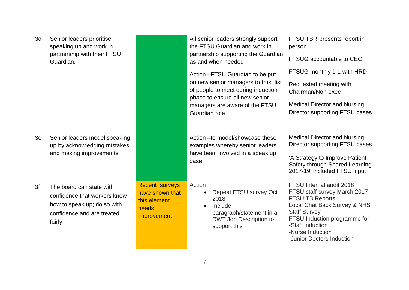| 3d | Senior leaders prioritise<br>speaking up and work in<br>partnership with their FTSU<br>Guardian.                                 |                                                                                         | All senior leaders strongly support<br>the FTSU Guardian and work in<br>partnership supporting the Guardian<br>as and when needed<br>Action - FTSU Guardian to be put<br>on new senior managers to trust list<br>of people to meet during induction<br>phase-to ensure all new senior<br>managers are aware of the FTSU<br>Guardian role | FTSU TBR-presents report in<br>person<br>FTSUG accountable to CEO<br>FTSUG monthly 1-1 with HRD<br>Requested meeting with<br>Chairman/Non-exec<br><b>Medical Director and Nursing</b><br>Director supporting FTSU cases                        |
|----|----------------------------------------------------------------------------------------------------------------------------------|-----------------------------------------------------------------------------------------|------------------------------------------------------------------------------------------------------------------------------------------------------------------------------------------------------------------------------------------------------------------------------------------------------------------------------------------|------------------------------------------------------------------------------------------------------------------------------------------------------------------------------------------------------------------------------------------------|
| 3e | Senior leaders model speaking<br>up by acknowledging mistakes<br>and making improvements.                                        |                                                                                         | Action - to model/showcase these<br>examples whereby senior leaders<br>have been involved in a speak up<br>case                                                                                                                                                                                                                          | <b>Medical Director and Nursing</b><br>Director supporting FTSU cases<br>'A Strategy to Improve Patient<br>Safety through Shared Learning<br>2017-19' included FTSU input                                                                      |
| 3f | The board can state with<br>confidence that workers know<br>how to speak up; do so with<br>confidence and are treated<br>fairly. | <b>Recent surveys</b><br>have shown that<br>this element<br>needs<br><i>improvement</i> | Action<br>Repeat FTSU survey Oct<br>$\bullet$<br>2018<br>Include<br>$\bullet$<br>paragraph/statement in all<br><b>RWT Job Description to</b><br>support this                                                                                                                                                                             | FTSU Internal audit 2018<br>FTSU staff survey March 2017<br><b>FTSU TB Reports</b><br>Local Chat Back Survey & NHS<br><b>Staff Survey</b><br>FTSU Induction programme for<br>-Staff induction<br>-Nurse Induction<br>-Junior Doctors Induction |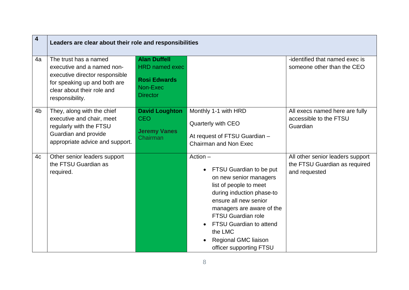| $\overline{\mathbf{4}}$ | Leaders are clear about their role and responsibilities                                                                                                                |                                                                                                    |                                                                                                                                                                                                                                                                                                                               |                                                                                    |  |
|-------------------------|------------------------------------------------------------------------------------------------------------------------------------------------------------------------|----------------------------------------------------------------------------------------------------|-------------------------------------------------------------------------------------------------------------------------------------------------------------------------------------------------------------------------------------------------------------------------------------------------------------------------------|------------------------------------------------------------------------------------|--|
| 4a                      | The trust has a named<br>executive and a named non-<br>executive director responsible<br>for speaking up and both are<br>clear about their role and<br>responsibility. | <b>Alan Duffell</b><br><b>HRD named exec</b><br><b>Rosi Edwards</b><br>Non-Exec<br><b>Director</b> |                                                                                                                                                                                                                                                                                                                               | -identified that named exec is<br>someone other than the CEO                       |  |
| 4 <sub>b</sub>          | They, along with the chief<br>executive and chair, meet<br>regularly with the FTSU<br>Guardian and provide<br>appropriate advice and support.                          | <b>David Loughton</b><br><b>CEO</b><br><b>Jeremy Vanes</b><br>Chairman                             | Monthly 1-1 with HRD<br>Quarterly with CEO<br>At request of FTSU Guardian -<br><b>Chairman and Non Exec</b>                                                                                                                                                                                                                   | All execs named here are fully<br>accessible to the FTSU<br>Guardian               |  |
| 4c                      | Other senior leaders support<br>the FTSU Guardian as<br>required.                                                                                                      |                                                                                                    | $Action -$<br>FTSU Guardian to be put<br>$\bullet$<br>on new senior managers<br>list of people to meet<br>during induction phase-to<br>ensure all new senior<br>managers are aware of the<br><b>FTSU Guardian role</b><br><b>FTSU Guardian to attend</b><br>the LMC<br><b>Regional GMC liaison</b><br>officer supporting FTSU | All other senior leaders support<br>the FTSU Guardian as required<br>and requested |  |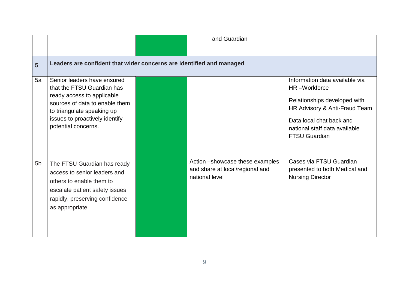|                |                                                                                                                                                                                                                  |  | and Guardian                                                                         |                                                                                                                                                                                                      |  |  |
|----------------|------------------------------------------------------------------------------------------------------------------------------------------------------------------------------------------------------------------|--|--------------------------------------------------------------------------------------|------------------------------------------------------------------------------------------------------------------------------------------------------------------------------------------------------|--|--|
|                |                                                                                                                                                                                                                  |  |                                                                                      |                                                                                                                                                                                                      |  |  |
| 5              | Leaders are confident that wider concerns are identified and managed                                                                                                                                             |  |                                                                                      |                                                                                                                                                                                                      |  |  |
| 5a             | Senior leaders have ensured<br>that the FTSU Guardian has<br>ready access to applicable<br>sources of data to enable them<br>to triangulate speaking up<br>issues to proactively identify<br>potential concerns. |  |                                                                                      | Information data available via<br>HR-Workforce<br>Relationships developed with<br>HR Advisory & Anti-Fraud Team<br>Data local chat back and<br>national staff data available<br><b>FTSU Guardian</b> |  |  |
| 5 <sub>b</sub> | The FTSU Guardian has ready<br>access to senior leaders and<br>others to enable them to<br>escalate patient safety issues<br>rapidly, preserving confidence<br>as appropriate.                                   |  | Action -showcase these examples<br>and share at local/regional and<br>national level | Cases via FTSU Guardian<br>presented to both Medical and<br><b>Nursing Director</b>                                                                                                                  |  |  |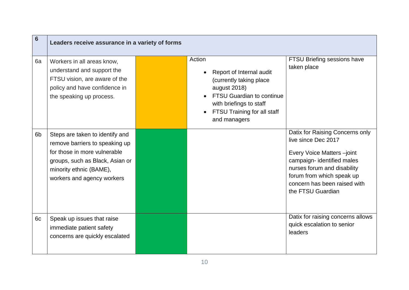| $6\phantom{1}6$ | Leaders receive assurance in a variety of forms                                                                                                                                               |  |                                                                                                                                                                                                          |                                                                                                                                                                                                                                    |  |
|-----------------|-----------------------------------------------------------------------------------------------------------------------------------------------------------------------------------------------|--|----------------------------------------------------------------------------------------------------------------------------------------------------------------------------------------------------------|------------------------------------------------------------------------------------------------------------------------------------------------------------------------------------------------------------------------------------|--|
| 6a              | Workers in all areas know,<br>understand and support the<br>FTSU vision, are aware of the<br>policy and have confidence in<br>the speaking up process.                                        |  | Action<br>Report of Internal audit<br>(currently taking place<br>august 2018)<br><b>FTSU Guardian to continue</b><br>with briefings to staff<br>FTSU Training for all staff<br>$\bullet$<br>and managers | FTSU Briefing sessions have<br>taken place                                                                                                                                                                                         |  |
| 6 <sub>b</sub>  | Steps are taken to identify and<br>remove barriers to speaking up<br>for those in more vulnerable<br>groups, such as Black, Asian or<br>minority ethnic (BAME),<br>workers and agency workers |  |                                                                                                                                                                                                          | Datix for Raising Concerns only<br>live since Dec 2017<br>Every Voice Matters-joint<br>campaign- identified males<br>nurses forum and disability<br>forum from which speak up<br>concern has been raised with<br>the FTSU Guardian |  |
| 6c              | Speak up issues that raise<br>immediate patient safety<br>concerns are quickly escalated                                                                                                      |  |                                                                                                                                                                                                          | Datix for raising concerns allows<br>quick escalation to senior<br>leaders                                                                                                                                                         |  |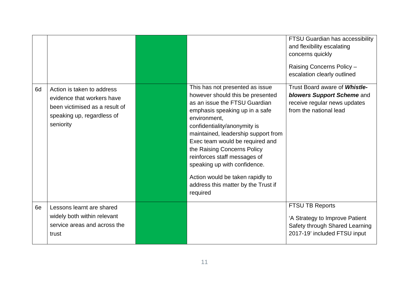|                                                                                                                                             |                                                                                                                                                                                                                                                                                                                                                                                                                                                        | <b>FTSU Guardian has accessibility</b><br>and flexibility escalating<br>concerns quickly<br>Raising Concerns Policy -<br>escalation clearly outlined |
|---------------------------------------------------------------------------------------------------------------------------------------------|--------------------------------------------------------------------------------------------------------------------------------------------------------------------------------------------------------------------------------------------------------------------------------------------------------------------------------------------------------------------------------------------------------------------------------------------------------|------------------------------------------------------------------------------------------------------------------------------------------------------|
| 6d<br>Action is taken to address<br>evidence that workers have<br>been victimised as a result of<br>speaking up, regardless of<br>seniority | This has not presented as issue<br>however should this be presented<br>as an issue the FTSU Guardian<br>emphasis speaking up in a safe<br>environment,<br>confidentiality/anonymity is<br>maintained, leadership support from<br>Exec team would be required and<br>the Raising Concerns Policy<br>reinforces staff messages of<br>speaking up with confidence.<br>Action would be taken rapidly to<br>address this matter by the Trust if<br>required | Trust Board aware of <b>Whistle-</b><br>blowers Support Scheme and<br>receive regular news updates<br>from the national lead                         |
| 6e<br>Lessons learnt are shared<br>widely both within relevant<br>service areas and across the<br>trust                                     |                                                                                                                                                                                                                                                                                                                                                                                                                                                        | <b>FTSU TB Reports</b><br>'A Strategy to Improve Patient<br>Safety through Shared Learning<br>2017-19' included FTSU input                           |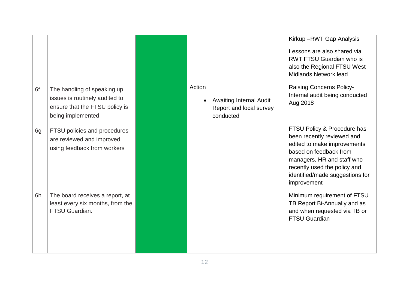|    |                                                                                                                      |                                                                                               | Kirkup-RWT Gap Analysis<br>Lessons are also shared via<br><b>RWT FTSU Guardian who is</b><br>also the Regional FTSU West                                                                                                           |
|----|----------------------------------------------------------------------------------------------------------------------|-----------------------------------------------------------------------------------------------|------------------------------------------------------------------------------------------------------------------------------------------------------------------------------------------------------------------------------------|
| 6f | The handling of speaking up<br>issues is routinely audited to<br>ensure that the FTSU policy is<br>being implemented | Action<br><b>Awaiting Internal Audit</b><br>$\bullet$<br>Report and local survey<br>conducted | <b>Midlands Network lead</b><br><b>Raising Concerns Policy-</b><br>Internal audit being conducted<br>Aug 2018                                                                                                                      |
| 6g | FTSU policies and procedures<br>are reviewed and improved<br>using feedback from workers                             |                                                                                               | FTSU Policy & Procedure has<br>been recently reviewed and<br>edited to make improvements<br>based on feedback from<br>managers, HR and staff who<br>recently used the policy and<br>identified/made suggestions for<br>improvement |
| 6h | The board receives a report, at<br>least every six months, from the<br>FTSU Guardian.                                |                                                                                               | Minimum requirement of FTSU<br>TB Report Bi-Annually and as<br>and when requested via TB or<br><b>FTSU Guardian</b>                                                                                                                |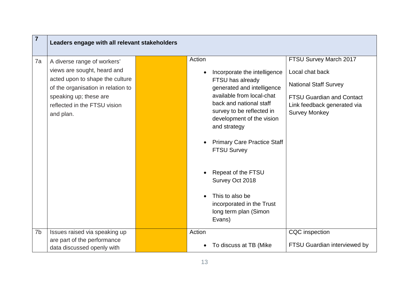| $\overline{7}$ | Leaders engage with all relevant stakeholders                                                                                                                                                              |                                                                                                                                                                                                                                                                                                                                                                                                                    |                                                                                                                                                                      |
|----------------|------------------------------------------------------------------------------------------------------------------------------------------------------------------------------------------------------------|--------------------------------------------------------------------------------------------------------------------------------------------------------------------------------------------------------------------------------------------------------------------------------------------------------------------------------------------------------------------------------------------------------------------|----------------------------------------------------------------------------------------------------------------------------------------------------------------------|
| 7a             | A diverse range of workers'<br>views are sought, heard and<br>acted upon to shape the culture<br>of the organisation in relation to<br>speaking up; these are<br>reflected in the FTSU vision<br>and plan. | Action<br>Incorporate the intelligence<br>FTSU has already<br>generated and intelligence<br>available from local-chat<br>back and national staff<br>survey to be reflected in<br>development of the vision<br>and strategy<br><b>Primary Care Practice Staff</b><br><b>FTSU Survey</b><br>Repeat of the FTSU<br>Survey Oct 2018<br>This to also be<br>incorporated in the Trust<br>long term plan (Simon<br>Evans) | FTSU Survey March 2017<br>Local chat back<br><b>National Staff Survey</b><br><b>FTSU Guardian and Contact</b><br>Link feedback generated via<br><b>Survey Monkey</b> |
| 7b             | Issues raised via speaking up<br>are part of the performance<br>data discussed openly with                                                                                                                 | Action<br>To discuss at TB (Mike                                                                                                                                                                                                                                                                                                                                                                                   | CQC inspection<br>FTSU Guardian interviewed by                                                                                                                       |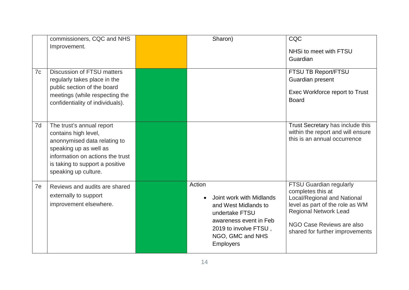|    | commissioners, CQC and NHS       | Sharon)                                | CQC                                                             |
|----|----------------------------------|----------------------------------------|-----------------------------------------------------------------|
|    | Improvement.                     |                                        | NHSi to meet with FTSU                                          |
|    |                                  |                                        | Guardian                                                        |
|    |                                  |                                        |                                                                 |
| 7c | Discussion of FTSU matters       |                                        | FTSU TB Report/FTSU                                             |
|    | regularly takes place in the     |                                        | Guardian present                                                |
|    | public section of the board      |                                        | Exec Workforce report to Trust                                  |
|    | meetings (while respecting the   |                                        | <b>Board</b>                                                    |
|    | confidentiality of individuals). |                                        |                                                                 |
|    |                                  |                                        |                                                                 |
| 7d | The trust's annual report        |                                        | Trust Secretary has include this                                |
|    | contains high level,             |                                        | within the report and will ensure                               |
|    | anonnymised data relating to     |                                        | this is an annual occurrence                                    |
|    | speaking up as well as           |                                        |                                                                 |
|    | information on actions the trust |                                        |                                                                 |
|    | is taking to support a positive  |                                        |                                                                 |
|    | speaking up culture.             |                                        |                                                                 |
| 7e | Reviews and audits are shared    | Action                                 | <b>FTSU Guardian regularly</b>                                  |
|    | externally to support            |                                        | completes this at                                               |
|    | improvement elsewhere.           | Joint work with Midlands<br>$\bullet$  | Local/Regional and National                                     |
|    |                                  | and West Midlands to<br>undertake FTSU | level as part of the role as WM<br><b>Regional Network Lead</b> |
|    |                                  | awareness event in Feb                 |                                                                 |
|    |                                  | 2019 to involve FTSU,                  | NGO Case Reviews are also                                       |
|    |                                  | NGO, GMC and NHS                       | shared for further improvements                                 |
|    |                                  | <b>Employers</b>                       |                                                                 |
|    |                                  |                                        |                                                                 |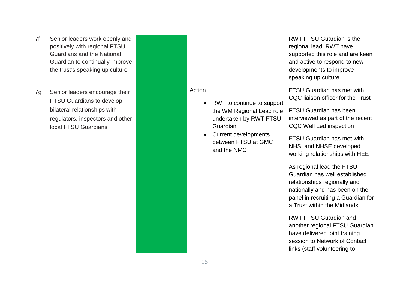| 7f | Senior leaders work openly and<br>positively with regional FTSU<br><b>Guardians and the National</b><br>Guardian to continually improve<br>the trust's speaking up culture |                                                                                                                                                                                           | <b>RWT FTSU Guardian is the</b><br>regional lead, RWT have<br>supported this role and are keen<br>and active to respond to new<br>developments to improve<br>speaking up culture                                                                                                                                                                                                                                                                                                                                                                                                                                                            |
|----|----------------------------------------------------------------------------------------------------------------------------------------------------------------------------|-------------------------------------------------------------------------------------------------------------------------------------------------------------------------------------------|---------------------------------------------------------------------------------------------------------------------------------------------------------------------------------------------------------------------------------------------------------------------------------------------------------------------------------------------------------------------------------------------------------------------------------------------------------------------------------------------------------------------------------------------------------------------------------------------------------------------------------------------|
| 7g | Senior leaders encourage their<br>FTSU Guardians to develop<br>bilateral relationships with<br>regulators, inspectors and other<br>local FTSU Guardians                    | Action<br>RWT to continue to support<br>$\bullet$<br>the WM Regional Lead role<br>undertaken by RWT FTSU<br>Guardian<br><b>Current developments</b><br>between FTSU at GMC<br>and the NMC | FTSU Guardian has met with<br>CQC liaison officer for the Trust<br><b>FTSU Guardian has been</b><br>interviewed as part of the recent<br><b>CQC Well Led inspection</b><br>FTSU Guardian has met with<br>NHSI and NHSE developed<br>working relationships with HEE<br>As regional lead the FTSU<br>Guardian has well established<br>relationships regionally and<br>nationally and has been on the<br>panel in recruiting a Guardian for<br>a Trust within the Midlands<br><b>RWT FTSU Guardian and</b><br>another regional FTSU Guardian<br>have delivered joint training<br>session to Network of Contact<br>links (staff volunteering to |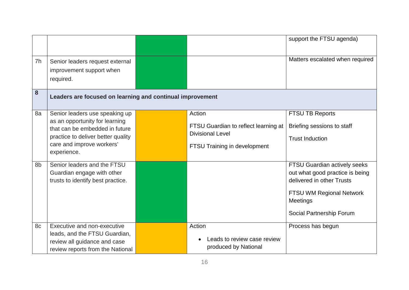|    |                                                                                                                                                                                      |                                                                                                           | support the FTSU agenda)                                                                                                                                                |
|----|--------------------------------------------------------------------------------------------------------------------------------------------------------------------------------------|-----------------------------------------------------------------------------------------------------------|-------------------------------------------------------------------------------------------------------------------------------------------------------------------------|
| 7h | Senior leaders request external<br>improvement support when<br>required.                                                                                                             |                                                                                                           | Matters escalated when required                                                                                                                                         |
| 8  | Leaders are focused on learning and continual improvement                                                                                                                            |                                                                                                           |                                                                                                                                                                         |
| 8a | Senior leaders use speaking up<br>as an opportunity for learning<br>that can be embedded in future<br>practice to deliver better quality<br>care and improve workers'<br>experience. | Action<br>FTSU Guardian to reflect learning at<br><b>Divisional Level</b><br>FTSU Training in development | <b>FTSU TB Reports</b><br>Briefing sessions to staff<br><b>Trust Induction</b>                                                                                          |
| 8b | Senior leaders and the FTSU<br>Guardian engage with other<br>trusts to identify best practice.                                                                                       |                                                                                                           | FTSU Guardian actively seeks<br>out what good practice is being<br>delivered in other Trusts<br><b>FTSU WM Regional Network</b><br>Meetings<br>Social Partnership Forum |
| 8c | Executive and non-executive<br>leads, and the FTSU Guardian,<br>review all guidance and case<br>review reports from the National                                                     | Action<br>Leads to review case review<br>produced by National                                             | Process has begun                                                                                                                                                       |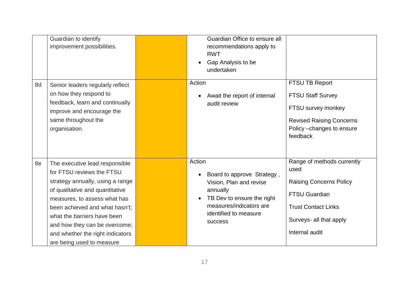|    | Guardian to identify<br>improvement possibilities.                                                                                                                                                                                                                                                                                    | Guardian Office to ensure all<br>recommendations apply to<br><b>RWT</b><br>Gap Analysis to be<br>undertaken                                                                                        |                                                                                                                                                                         |
|----|---------------------------------------------------------------------------------------------------------------------------------------------------------------------------------------------------------------------------------------------------------------------------------------------------------------------------------------|----------------------------------------------------------------------------------------------------------------------------------------------------------------------------------------------------|-------------------------------------------------------------------------------------------------------------------------------------------------------------------------|
| 8d | Senior leaders regularly reflect<br>on how they respond to<br>feedback, learn and continually<br>improve and encourage the<br>same throughout the<br>organisation.                                                                                                                                                                    | Action<br>Await the report of internal<br>audit review                                                                                                                                             | FTSU TB Report<br><b>FTSU Staff Survey</b><br>FTSU survey monkey<br><b>Revised Raising Concerns</b><br>Policy - changes to ensure<br>feedback                           |
| 8e | The executive lead responsible<br>for FTSU reviews the FTSU<br>strategy annually, using a range<br>of qualitative and quantitative<br>measures, to assess what has<br>been achieved and what hasn't;<br>what the barriers have been<br>and how they can be overcome;<br>and whether the right indicators<br>are being used to measure | Action<br>Board to approve Strategy,<br>$\bullet$<br>Vision, Plan and revise<br>annually<br>TB Dev to ensure the right<br>$\bullet$<br>measures/indicators are<br>identified to measure<br>success | Range of methods currently<br>used<br><b>Raising Concerns Policy</b><br><b>FTSU Guardian</b><br><b>Trust Contact Links</b><br>Surveys- all that apply<br>Internal audit |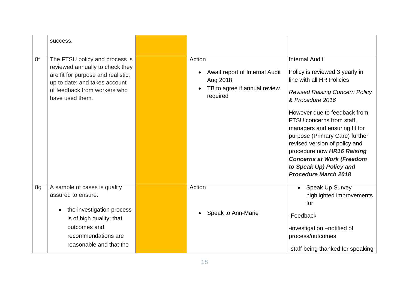|    | success.                                                                                                                                                                                    |                                                                                                  |                                                                                                                                                                                                                                                                                                                                                                                                                                                |
|----|---------------------------------------------------------------------------------------------------------------------------------------------------------------------------------------------|--------------------------------------------------------------------------------------------------|------------------------------------------------------------------------------------------------------------------------------------------------------------------------------------------------------------------------------------------------------------------------------------------------------------------------------------------------------------------------------------------------------------------------------------------------|
| 8f | The FTSU policy and process is<br>reviewed annually to check they<br>are fit for purpose and realistic;<br>up to date; and takes account<br>of feedback from workers who<br>have used them. | Action<br>Await report of Internal Audit<br>Aug 2018<br>TB to agree if annual review<br>required | <b>Internal Audit</b><br>Policy is reviewed 3 yearly in<br>line with all HR Policies<br><b>Revised Raising Concern Policy</b><br>& Procedure 2016<br>However due to feedback from<br>FTSU concerns from staff,<br>managers and ensuring fit for<br>purpose (Primary Care) further<br>revised version of policy and<br>procedure now HR16 Raising<br><b>Concerns at Work (Freedom</b><br>to Speak Up) Policy and<br><b>Procedure March 2018</b> |
| 8g | A sample of cases is quality<br>assured to ensure:                                                                                                                                          | Action                                                                                           | <b>Speak Up Survey</b><br>highlighted improvements<br>for                                                                                                                                                                                                                                                                                                                                                                                      |
|    | the investigation process<br>is of high quality; that                                                                                                                                       | Speak to Ann-Marie                                                                               | -Feedback                                                                                                                                                                                                                                                                                                                                                                                                                                      |
|    | outcomes and<br>recommendations are                                                                                                                                                         |                                                                                                  | -investigation -notified of<br>process/outcomes                                                                                                                                                                                                                                                                                                                                                                                                |
|    | reasonable and that the                                                                                                                                                                     |                                                                                                  | -staff being thanked for speaking                                                                                                                                                                                                                                                                                                                                                                                                              |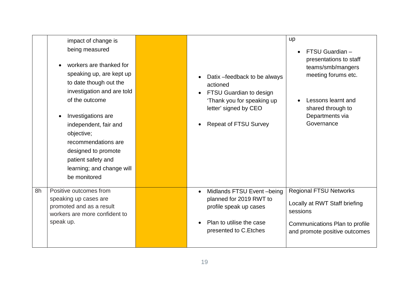|    | impact of change is<br>being measured<br>workers are thanked for<br>speaking up, are kept up<br>to date though out the<br>investigation and are told<br>of the outcome<br>Investigations are<br>independent, fair and<br>objective;<br>recommendations are<br>designed to promote<br>patient safety and<br>learning; and change will<br>be monitored | Datix - feedback to be always<br>actioned<br><b>FTSU Guardian to design</b><br>'Thank you for speaking up<br>letter' signed by CEO<br><b>Repeat of FTSU Survey</b> | up<br>FTSU Guardian -<br>$\bullet$<br>presentations to staff<br>teams/smb/mangers<br>meeting forums etc.<br>Lessons learnt and<br>shared through to<br>Departments via<br>Governance |
|----|------------------------------------------------------------------------------------------------------------------------------------------------------------------------------------------------------------------------------------------------------------------------------------------------------------------------------------------------------|--------------------------------------------------------------------------------------------------------------------------------------------------------------------|--------------------------------------------------------------------------------------------------------------------------------------------------------------------------------------|
| 8h | Positive outcomes from<br>speaking up cases are<br>promoted and as a result<br>workers are more confident to<br>speak up.                                                                                                                                                                                                                            | Midlands FTSU Event-being<br>planned for 2019 RWT to<br>profile speak up cases<br>Plan to utilise the case<br>presented to C. Etches                               | <b>Regional FTSU Networks</b><br>Locally at RWT Staff briefing<br>sessions<br>Communications Plan to profile<br>and promote positive outcomes                                        |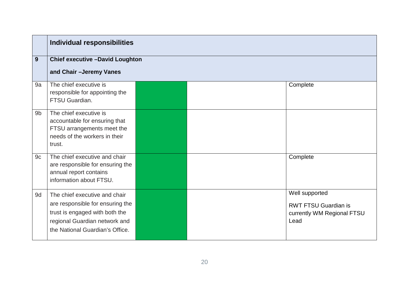|                | <b>Individual responsibilities</b>                                                                                                                                      |  |  |                                                                                     |
|----------------|-------------------------------------------------------------------------------------------------------------------------------------------------------------------------|--|--|-------------------------------------------------------------------------------------|
| 9              | <b>Chief executive -David Loughton</b>                                                                                                                                  |  |  |                                                                                     |
|                | and Chair - Jeremy Vanes                                                                                                                                                |  |  |                                                                                     |
| 9a             | The chief executive is<br>responsible for appointing the<br>FTSU Guardian.                                                                                              |  |  | Complete                                                                            |
| 9 <sub>b</sub> | The chief executive is<br>accountable for ensuring that<br>FTSU arrangements meet the<br>needs of the workers in their<br>trust.                                        |  |  |                                                                                     |
| 9c             | The chief executive and chair<br>are responsible for ensuring the<br>annual report contains<br>information about FTSU.                                                  |  |  | Complete                                                                            |
| 9d             | The chief executive and chair<br>are responsible for ensuring the<br>trust is engaged with both the<br>regional Guardian network and<br>the National Guardian's Office. |  |  | Well supported<br><b>RWT FTSU Guardian is</b><br>currently WM Regional FTSU<br>Lead |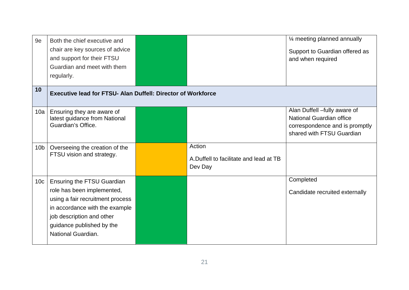| 9e              | Both the chief executive and                                                      |                                                             | 1⁄4 meeting planned annually                                                                                            |
|-----------------|-----------------------------------------------------------------------------------|-------------------------------------------------------------|-------------------------------------------------------------------------------------------------------------------------|
|                 | chair are key sources of advice                                                   |                                                             | Support to Guardian offered as                                                                                          |
|                 | and support for their FTSU                                                        |                                                             | and when required                                                                                                       |
|                 | Guardian and meet with them                                                       |                                                             |                                                                                                                         |
|                 | regularly.                                                                        |                                                             |                                                                                                                         |
| 10              | <b>Executive lead for FTSU- Alan Duffell: Director of Workforce</b>               |                                                             |                                                                                                                         |
| 10a             | Ensuring they are aware of<br>latest guidance from National<br>Guardian's Office. |                                                             | Alan Duffell -fully aware of<br>National Guardian office<br>correspondence and is promptly<br>shared with FTSU Guardian |
| 10 <sub>b</sub> | Overseeing the creation of the<br>FTSU vision and strategy.                       | Action<br>A.Duffell to facilitate and lead at TB<br>Dev Day |                                                                                                                         |
| 10 <sub>c</sub> | <b>Ensuring the FTSU Guardian</b>                                                 |                                                             | Completed                                                                                                               |
|                 | role has been implemented,                                                        |                                                             | Candidate recruited externally                                                                                          |
|                 | using a fair recruitment process                                                  |                                                             |                                                                                                                         |
|                 | in accordance with the example                                                    |                                                             |                                                                                                                         |
|                 | job description and other                                                         |                                                             |                                                                                                                         |
|                 | guidance published by the                                                         |                                                             |                                                                                                                         |
|                 | National Guardian.                                                                |                                                             |                                                                                                                         |
|                 |                                                                                   |                                                             |                                                                                                                         |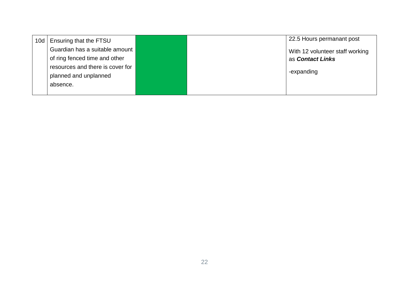| 10d   Ensuring that the FTSU     |  | 22.5 Hours permanant post       |
|----------------------------------|--|---------------------------------|
| Guardian has a suitable amount   |  | With 12 volunteer staff working |
| of ring fenced time and other    |  | as <b>Contact Links</b>         |
| resources and there is cover for |  |                                 |
| planned and unplanned            |  | -expanding                      |
| absence.                         |  |                                 |
|                                  |  |                                 |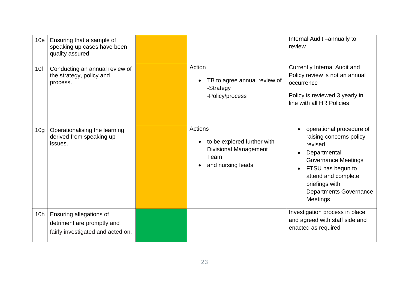| 10 <sub>e</sub> | Ensuring that a sample of<br>speaking up cases have been<br>quality assured.               |                                                                                                                         | Internal Audit -annually to<br>review                                                                                                                                                                                          |
|-----------------|--------------------------------------------------------------------------------------------|-------------------------------------------------------------------------------------------------------------------------|--------------------------------------------------------------------------------------------------------------------------------------------------------------------------------------------------------------------------------|
| 10f             | Conducting an annual review of<br>the strategy, policy and<br>process.                     | Action<br>TB to agree annual review of<br>$\bullet$<br>-Strategy<br>-Policy/process                                     | <b>Currently Internal Audit and</b><br>Policy review is not an annual<br>occurrence<br>Policy is reviewed 3 yearly in<br>line with all HR Policies                                                                             |
| 10 <sub>g</sub> | Operationalising the learning<br>derived from speaking up<br>issues.                       | <b>Actions</b><br>to be explored further with<br>$\bullet$<br><b>Divisional Management</b><br>Team<br>and nursing leads | operational procedure of<br>raising concerns policy<br>revised<br>Departmental<br><b>Governance Meetings</b><br>FTSU has begun to<br>attend and complete<br>briefings with<br><b>Departments Governance</b><br><b>Meetings</b> |
| 10h             | Ensuring allegations of<br>detriment are promptly and<br>fairly investigated and acted on. |                                                                                                                         | Investigation process in place<br>and agreed with staff side and<br>enacted as required                                                                                                                                        |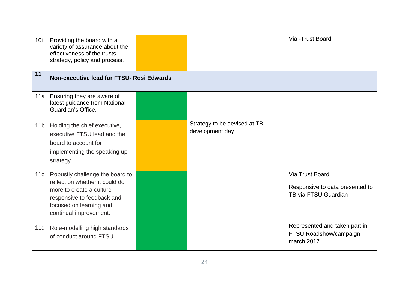| 10i             | Providing the board with a<br>variety of assurance about the<br>effectiveness of the trusts<br>strategy, policy and process.                                                     |  |                                                 | Via - Trust Board                                                          |  |  |
|-----------------|----------------------------------------------------------------------------------------------------------------------------------------------------------------------------------|--|-------------------------------------------------|----------------------------------------------------------------------------|--|--|
| 11              | Non-executive lead for FTSU- Rosi Edwards                                                                                                                                        |  |                                                 |                                                                            |  |  |
| 11a             | Ensuring they are aware of<br>latest guidance from National<br>Guardian's Office.                                                                                                |  |                                                 |                                                                            |  |  |
| 11 <sub>b</sub> | Holding the chief executive,<br>executive FTSU lead and the<br>board to account for<br>implementing the speaking up<br>strategy.                                                 |  | Strategy to be devised at TB<br>development day |                                                                            |  |  |
| 11c             | Robustly challenge the board to<br>reflect on whether it could do<br>more to create a culture<br>responsive to feedback and<br>focused on learning and<br>continual improvement. |  |                                                 | Via Trust Board<br>Responsive to data presented to<br>TB via FTSU Guardian |  |  |
| 11d             | Role-modelling high standards<br>of conduct around FTSU.                                                                                                                         |  |                                                 | Represented and taken part in<br>FTSU Roadshow/campaign<br>march 2017      |  |  |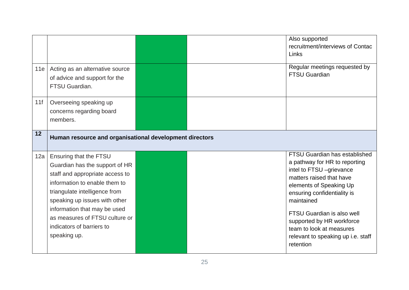|     |                                                                                                                                                                                                                                                                                                               |  | Also supported<br>recruitment/interviews of Contac<br>Links                                                                                                                                                                                                                                                                                     |
|-----|---------------------------------------------------------------------------------------------------------------------------------------------------------------------------------------------------------------------------------------------------------------------------------------------------------------|--|-------------------------------------------------------------------------------------------------------------------------------------------------------------------------------------------------------------------------------------------------------------------------------------------------------------------------------------------------|
| 11e | Acting as an alternative source<br>of advice and support for the<br>FTSU Guardian.                                                                                                                                                                                                                            |  | Regular meetings requested by<br><b>FTSU Guardian</b>                                                                                                                                                                                                                                                                                           |
| 11f | Overseeing speaking up<br>concerns regarding board<br>members.                                                                                                                                                                                                                                                |  |                                                                                                                                                                                                                                                                                                                                                 |
| 12  | Human resource and organisational development directors                                                                                                                                                                                                                                                       |  |                                                                                                                                                                                                                                                                                                                                                 |
| 12a | Ensuring that the FTSU<br>Guardian has the support of HR<br>staff and appropriate access to<br>information to enable them to<br>triangulate intelligence from<br>speaking up issues with other<br>information that may be used<br>as measures of FTSU culture or<br>indicators of barriers to<br>speaking up. |  | FTSU Guardian has established<br>a pathway for HR to reporting<br>intel to FTSU -grievance<br>matters raised that have<br>elements of Speaking Up<br>ensuring confidentiality is<br>maintained<br><b>FTSU Guardian is also well</b><br>supported by HR workforce<br>team to look at measures<br>relevant to speaking up i.e. staff<br>retention |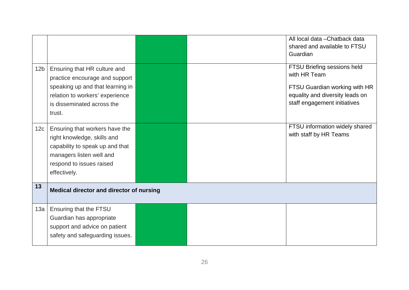|                 |                                                 |  | All local data - Chatback data  |
|-----------------|-------------------------------------------------|--|---------------------------------|
|                 |                                                 |  | shared and available to FTSU    |
|                 |                                                 |  | Guardian                        |
| 12 <sub>b</sub> | Ensuring that HR culture and                    |  | FTSU Briefing sessions held     |
|                 | practice encourage and support                  |  | with HR Team                    |
|                 | speaking up and that learning in                |  | FTSU Guardian working with HR   |
|                 | relation to workers' experience                 |  | equality and diversity leads on |
|                 | is disseminated across the                      |  | staff engagement initiatives    |
|                 | trust.                                          |  |                                 |
|                 |                                                 |  |                                 |
| 12 <sub>c</sub> | Ensuring that workers have the                  |  | FTSU information widely shared  |
|                 | right knowledge, skills and                     |  | with staff by HR Teams          |
|                 | capability to speak up and that                 |  |                                 |
|                 | managers listen well and                        |  |                                 |
|                 | respond to issues raised                        |  |                                 |
|                 | effectively.                                    |  |                                 |
|                 |                                                 |  |                                 |
| 13              | <b>Medical director and director of nursing</b> |  |                                 |
|                 |                                                 |  |                                 |
| 13a             | Ensuring that the FTSU                          |  |                                 |
|                 | Guardian has appropriate                        |  |                                 |
|                 | support and advice on patient                   |  |                                 |
|                 | safety and safeguarding issues.                 |  |                                 |
|                 |                                                 |  |                                 |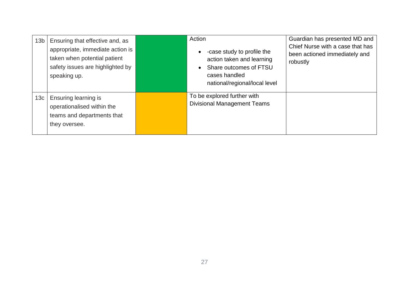| 13 <sub>b</sub> | Ensuring that effective and, as<br>appropriate, immediate action is<br>taken when potential patient<br>safety issues are highlighted by<br>speaking up. | Action<br>-case study to profile the<br>action taken and learning<br>Share outcomes of FTSU<br>cases handled<br>national/regional/local level | Guardian has presented MD and<br>Chief Nurse with a case that has<br>been actioned immediately and<br>robustly |
|-----------------|---------------------------------------------------------------------------------------------------------------------------------------------------------|-----------------------------------------------------------------------------------------------------------------------------------------------|----------------------------------------------------------------------------------------------------------------|
| 13c             | Ensuring learning is<br>operationalised within the<br>teams and departments that<br>they oversee.                                                       | To be explored further with<br><b>Divisional Management Teams</b>                                                                             |                                                                                                                |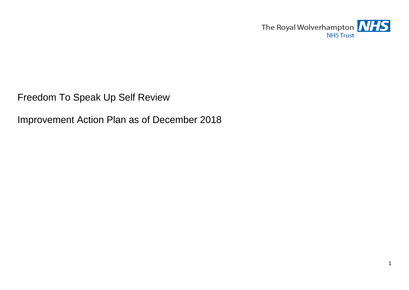The Royal Wolverhampton **NHS NHS Trust** 

Freedom To Speak Up Self Review

Improvement Action Plan as of December 2018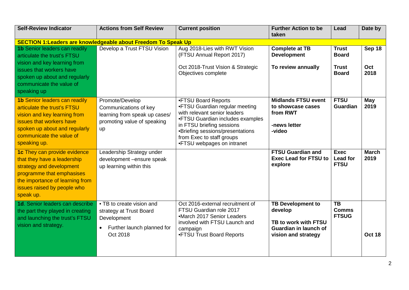| <b>Self-Review Indicator</b>                                                                                                                                                                                 | <b>Actions from Self Review</b>                                                                                            | <b>Current position</b>                                                                                                                                                                                                                               | <b>Further Action to be</b><br>taken                                                                        | Lead                                                         | Date by               |
|--------------------------------------------------------------------------------------------------------------------------------------------------------------------------------------------------------------|----------------------------------------------------------------------------------------------------------------------------|-------------------------------------------------------------------------------------------------------------------------------------------------------------------------------------------------------------------------------------------------------|-------------------------------------------------------------------------------------------------------------|--------------------------------------------------------------|-----------------------|
| <b>SECTION 1: Leaders are knowledgeable about Freedom To Speak Up</b>                                                                                                                                        |                                                                                                                            |                                                                                                                                                                                                                                                       |                                                                                                             |                                                              |                       |
| <b>1b Senior leaders can readily</b><br>articulate the trust's FTSU<br>vision and key learning from<br>issues that workers have<br>spoken up about and regularly<br>communicate the value of<br>speaking up  | Develop a Trust FTSU Vision                                                                                                | Aug 2018-Lies with RWT Vision<br>(FTSU Annual Report 2017)<br>Oct 2018-Trust Vision & Strategic<br>Objectives complete                                                                                                                                | <b>Complete at TB</b><br><b>Development</b><br>To review annually                                           | <b>Trust</b><br><b>Board</b><br><b>Trust</b><br><b>Board</b> | Sep 18<br>Oct<br>2018 |
| <b>1b Senior leaders can readily</b><br>articulate the trust's FTSU<br>vision and key learning from<br>issues that workers have<br>spoken up about and regularly<br>communicate the value of<br>speaking up. | Promote/Develop<br>Communications of key<br>learning from speak up cases/<br>promoting value of speaking<br>up             | •FTSU Board Reports<br>•FTSU Guardian regular meeting<br>with relevant senior leaders<br>•FTSU Guardian includes examples<br>in FTSU briefing sessions<br>•Briefing sessions/presentations<br>from Exec to staff groups<br>•FTSU webpages on intranet | <b>Midlands FTSU event</b><br>to showcase cases<br>from RWT<br>-news letter<br>-video                       | <b>FTSU</b><br>Guardian                                      | May<br>2019           |
| 1c They can provide evidence<br>that they have a leadership<br>strategy and development<br>programme that emphasises<br>the importance of learning from<br>issues raised by people who<br>speak up.          | Leadership Strategy under<br>development -ensure speak<br>up learning within this                                          |                                                                                                                                                                                                                                                       | <b>FTSU Guardian and</b><br><b>Exec Lead for FTSU to</b><br>explore                                         | <b>Exec</b><br>Lead for<br><b>FTSU</b>                       | <b>March</b><br>2019  |
| 1d. Senior leaders can describe<br>the part they played in creating<br>and launching the trust's FTSU<br>vision and strategy.                                                                                | • TB to create vision and<br>strategy at Trust Board<br>Development<br>Further launch planned for<br>$\bullet$<br>Oct 2018 | Oct 2016-external recruitment of<br>FTSU Guardian role 2017<br>•March 2017 Senior Leaders<br>involved with FTSU Launch and<br>campaign<br>•FTSU Trust Board Reports                                                                                   | <b>TB Development to</b><br>develop<br>TB to work with FTSU<br>Guardian in launch of<br>vision and strategy | $\overline{TB}$<br><b>Comms</b><br><b>FTSUG</b>              | <b>Oct 18</b>         |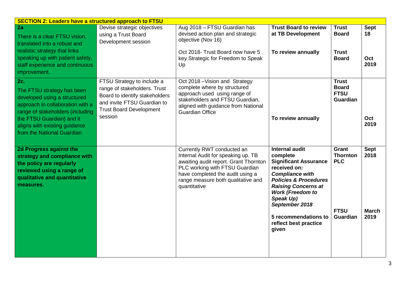| <b>SECTION 2: Leaders have a structured approach to FTSU</b>                                                                                                                                                                                 |                                                                                                                                                                          |                                                                                                                                                                                                                                       |                                                                                                                                                                                                                                                                                                   |                                                                          |                                             |  |  |
|----------------------------------------------------------------------------------------------------------------------------------------------------------------------------------------------------------------------------------------------|--------------------------------------------------------------------------------------------------------------------------------------------------------------------------|---------------------------------------------------------------------------------------------------------------------------------------------------------------------------------------------------------------------------------------|---------------------------------------------------------------------------------------------------------------------------------------------------------------------------------------------------------------------------------------------------------------------------------------------------|--------------------------------------------------------------------------|---------------------------------------------|--|--|
| 2a<br>There is a clear FTSU vision,<br>translated into a robust and<br>realistic strategy that links<br>speaking up with patient safety,<br>staff experience and continuous<br>improvement.                                                  | Devise strategic objectives<br>using a Trust Board<br>Development session                                                                                                | Aug 2018 - FTSU Guardian has<br>devised action plan and strategic<br>objective (Nov 16)<br>Oct 2018- Trust Board now have 5<br>key Strategic for Freedom to Speak<br>Up                                                               | <b>Trust Board to review</b><br>at TB Development<br>To review annually                                                                                                                                                                                                                           | <b>Trust</b><br><b>Board</b><br><b>Trust</b><br><b>Board</b>             | <b>Sept</b><br>18<br>Oct<br>2019            |  |  |
| <b>2c.</b><br>The FTSU strategy has been<br>developed using a structured<br>approach in collaboration with a<br>range of stakeholders (including<br>the FTSU Guardian) and it<br>aligns with existing guidance<br>from the National Guardian | FTSU Strategy to include a<br>range of stakeholders. Trust<br>Board to identify stakeholders<br>and invite FTSU Guardian to<br><b>Trust Board Development</b><br>session | Oct 2018 - Vision and Strategy<br>complete where by structured<br>approach used using range of<br>stakeholders and FTSU Guardian,<br>aligned with guidance from National<br><b>Guardian Office</b>                                    | To review annually                                                                                                                                                                                                                                                                                | <b>Trust</b><br><b>Board</b><br><b>FTSU</b><br>Guardian                  | Oct<br>2019                                 |  |  |
| 2d Progress against the<br>strategy and compliance with<br>the policy are regularly<br>reviewed using a range of<br>qualitative and quantitative<br>measures.                                                                                |                                                                                                                                                                          | Currently RWT conducted an<br>Internal Audit for speaking up. TB<br>awaiting audit report. Grant Thornton<br>PLC working with FTSU Guardian<br>have completed the audit using a<br>range measure both qualitative and<br>quantitative | <b>Internal audit</b><br>complete<br><b>Significant Assurance</b><br>received on:<br><b>Compliance with</b><br><b>Policies &amp; Procedures</b><br><b>Raising Concerns at</b><br><b>Work (Freedom to</b><br>Speak Up)<br>September 2018<br>5 recommendations to<br>reflect best practice<br>given | Grant<br><b>Thornton</b><br><b>PLC</b><br><b>FTSU</b><br><b>Guardian</b> | <b>Sept</b><br>2018<br><b>March</b><br>2019 |  |  |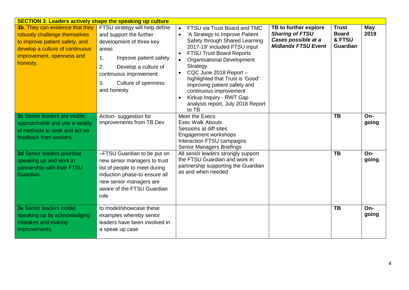| <b>SECTION 3: Leaders actively shape the speaking up culture</b>                                                                                                                      |                                                                                                                                                                                                                                    |                                                                                                                                                                                                                                                                                                                                                                                                                                                              |                                                                                                      |                                                           |              |
|---------------------------------------------------------------------------------------------------------------------------------------------------------------------------------------|------------------------------------------------------------------------------------------------------------------------------------------------------------------------------------------------------------------------------------|--------------------------------------------------------------------------------------------------------------------------------------------------------------------------------------------------------------------------------------------------------------------------------------------------------------------------------------------------------------------------------------------------------------------------------------------------------------|------------------------------------------------------------------------------------------------------|-----------------------------------------------------------|--------------|
| <b>3b.</b> They can evidence that they<br>robustly challenge themselves<br>to improve patient safety, and<br>develop a culture of continuous<br>improvement, openness and<br>honesty. | FTSU strategy will help define<br>and support the further<br>development of three key<br>areas<br>1.<br>Improve patient safety<br>2.<br>Develop a culture of<br>continuous improvement<br>3.<br>Culture of openness<br>and honesty | FTSU via Trust Board and TMC<br>'A Strategy to Improve Patient<br>$\bullet$<br>Safety through Shared Learning<br>2017-19' included FTSU input<br><b>FTSU Trust Board Reports</b><br>$\bullet$<br><b>Organisational Development</b><br>$\bullet$<br>Strategy<br>CQC June 2018 Report-<br>highlighted that Trust is 'Good'<br>improving patient safety and<br>continuous improvement<br>Kirkup Inquiry - RWT Gap<br>analysis report, July 2018 Report<br>to TB | TB to further explore<br><b>Sharing of FTSU</b><br>Cases possible at a<br><b>Midlands FTSU Event</b> | <b>Trust</b><br><b>Board</b><br>& FTSU<br><b>Guardian</b> | May<br>2019  |
| 3c Senior leaders are visible,<br>approachable and use a variety<br>of methods to seek and act on<br>feedback from workers.                                                           | Action- suggestion for<br>improvements from TB Dev                                                                                                                                                                                 | Meet the Execs<br><b>Exec Walk Abouts</b><br>Sessions at diff sites<br>Engagement workshops<br>Interaction FTSU campaigns<br><b>Senior Managers Briefings</b>                                                                                                                                                                                                                                                                                                |                                                                                                      | <b>TB</b>                                                 | On-<br>going |
| <b>3d Senior leaders prioritise</b><br>speaking up and work in<br>partnership with their FTSU<br>Guardian.                                                                            | -FTSU Guardian to be put on<br>new senior managers to trust<br>list of people to meet during<br>induction phase-to ensure all<br>new senior managers are<br>aware of the FTSU Guardian<br>role                                     | All senior leaders strongly support<br>the FTSU Guardian and work in<br>partnership supporting the Guardian<br>as and when needed                                                                                                                                                                                                                                                                                                                            |                                                                                                      | <b>TB</b>                                                 | On-<br>going |
| <b>3e Senior leaders model</b><br>speaking up by acknowledging<br>mistakes and making<br>improvements.                                                                                | to model/showcase these<br>examples whereby senior<br>leaders have been involved in<br>a speak up case                                                                                                                             |                                                                                                                                                                                                                                                                                                                                                                                                                                                              |                                                                                                      | <b>TB</b>                                                 | On-<br>going |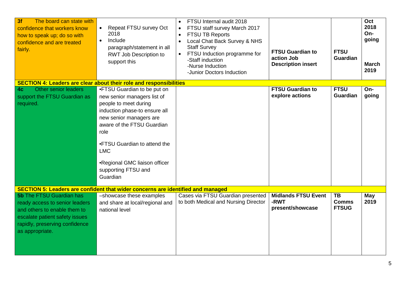| The board can state with<br>3f<br>confidence that workers know<br>how to speak up; do so with<br>confidence and are treated<br>fairly.                                                   | Repeat FTSU survey Oct<br>$\bullet$<br>2018<br>Include<br>$\bullet$<br>paragraph/statement in all<br>RWT Job Description to<br>support this                                                                                                                                                             | FTSU Internal audit 2018<br>FTSU staff survey March 2017<br>$\bullet$<br>FTSU TB Reports<br>$\bullet$<br>Local Chat Back Survey & NHS<br>$\bullet$<br><b>Staff Survey</b><br>FTSU Induction programme for<br>-Staff induction<br>-Nurse Induction<br>-Junior Doctors Induction | <b>FTSU Guardian to</b><br>action Job<br><b>Description insert</b> | <b>FTSU</b><br><b>Guardian</b>            | Oct<br>2018<br>On-<br>going<br><b>March</b><br>2019 |
|------------------------------------------------------------------------------------------------------------------------------------------------------------------------------------------|---------------------------------------------------------------------------------------------------------------------------------------------------------------------------------------------------------------------------------------------------------------------------------------------------------|--------------------------------------------------------------------------------------------------------------------------------------------------------------------------------------------------------------------------------------------------------------------------------|--------------------------------------------------------------------|-------------------------------------------|-----------------------------------------------------|
| <b>SECTION 4: Leaders are clear about their role and responsibilities</b>                                                                                                                |                                                                                                                                                                                                                                                                                                         |                                                                                                                                                                                                                                                                                |                                                                    |                                           |                                                     |
| Other senior leaders<br>4 <sub>c</sub><br>support the FTSU Guardian as<br>required.                                                                                                      | •FTSU Guardian to be put on<br>new senior managers list of<br>people to meet during<br>induction phase-to ensure all<br>new senior managers are<br>aware of the FTSU Guardian<br>role<br>•FTSU Guardian to attend the<br><b>LMC</b><br>•Regional GMC liaison officer<br>supporting FTSU and<br>Guardian |                                                                                                                                                                                                                                                                                | <b>FTSU Guardian to</b><br>explore actions                         | <b>FTSU</b><br><b>Guardian</b>            | On-<br>going                                        |
| SECTION 5: Leaders are confident that wider concerns are identified and managed                                                                                                          |                                                                                                                                                                                                                                                                                                         |                                                                                                                                                                                                                                                                                |                                                                    |                                           |                                                     |
| <b>5b The FTSU Guardian has</b><br>ready access to senior leaders<br>and others to enable them to<br>escalate patient safety issues<br>rapidly, preserving confidence<br>as appropriate. | -showcase these examples<br>and share at local/regional and<br>national level                                                                                                                                                                                                                           | Cases via FTSU Guardian presented<br>to both Medical and Nursing Director                                                                                                                                                                                                      | <b>Midlands FTSU Event</b><br>-RWT<br>present/showcase             | <b>TB</b><br><b>Comms</b><br><b>FTSUG</b> | May<br>2019                                         |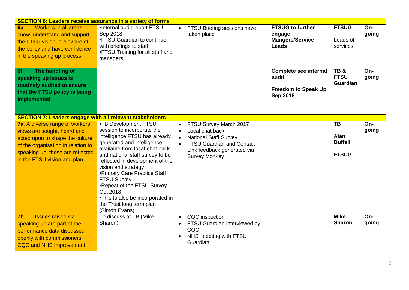| <b>SECTION 6: Leaders receive assurance in a variety of forms</b>                                                                                                                                                  |                                                                                                                                                                                                                                                                                                                                                                                                                             |                                                                                                                                                                                                                          |                                                                                        |                                                     |              |  |  |
|--------------------------------------------------------------------------------------------------------------------------------------------------------------------------------------------------------------------|-----------------------------------------------------------------------------------------------------------------------------------------------------------------------------------------------------------------------------------------------------------------------------------------------------------------------------------------------------------------------------------------------------------------------------|--------------------------------------------------------------------------------------------------------------------------------------------------------------------------------------------------------------------------|----------------------------------------------------------------------------------------|-----------------------------------------------------|--------------|--|--|
| <b>Workers in all areas</b><br>6a<br>know, understand and support<br>the FTSU vision, are aware of<br>the policy and have confidence<br>in the speaking up process.                                                | •Internal audit report FTSU<br>Sep 2018<br>•FTSU Guardian to continue<br>with briefings to staff<br>•FTSU Training for all staff and<br>managers                                                                                                                                                                                                                                                                            | FTSU Briefing sessions have<br>taken place                                                                                                                                                                               | <b>FTSUG to further</b><br>engage<br><b>Mangers/Service</b><br><b>Leads</b>            | <b>FTSUG</b><br>Leads of<br>services                | On-<br>going |  |  |
| The handling of<br>6f<br>speaking up issues is<br>routinely audited to ensure<br>that the FTSU policy is being<br>implemented                                                                                      |                                                                                                                                                                                                                                                                                                                                                                                                                             |                                                                                                                                                                                                                          | <b>Complete see internal</b><br>audit<br><b>Freedom to Speak Up</b><br><b>Sep 2018</b> | TB&<br><b>FTSU</b><br><b>Guardian</b>               | On-<br>going |  |  |
| <b>SECTION 7: Leaders engage with all relevant stakeholders-</b>                                                                                                                                                   |                                                                                                                                                                                                                                                                                                                                                                                                                             |                                                                                                                                                                                                                          |                                                                                        |                                                     |              |  |  |
| <b>7a.</b> A diverse range of workers'<br>views are sought, heard and<br>acted upon to shape the culture<br>of the organisation in relation to<br>speaking up; these are reflected<br>in the FTSU vision and plan. | •TB Development FTSU<br>session to incorporate the<br>intelligence FTSU has already<br>generated and intelligence<br>available from local-chat back<br>and national staff survey to be<br>reflected in development of the<br>vision and strategy<br>• Primary Care Practice Staff<br>FTSU Survey<br>•Repeat of the FTSU Survey<br>Oct 2018<br>•This to also be incorporated in<br>the Trust long term plan<br>(Simon Evans) | FTSU Survey March 2017<br>$\bullet$<br>Local chat back<br>$\bullet$<br><b>National Staff Survey</b><br>$\bullet$<br><b>FTSU Guardian and Contact</b><br>$\bullet$<br>Link feedback generated via<br><b>Survey Monkey</b> |                                                                                        | <b>TB</b><br>Alan<br><b>Duffell</b><br><b>FTSUG</b> | On-<br>going |  |  |
| <b>Issues raised via</b><br>7 <sub>b</sub><br>speaking up are part of the<br>performance data discussed<br>openly with commissioners,<br>CQC and NHS Improvement.                                                  | To discuss at TB (Mike<br>Sharon)                                                                                                                                                                                                                                                                                                                                                                                           | <b>CQC</b> inspection<br>$\bullet$<br>FTSU Guardian interviewed by<br>CQC<br>NHSi meeting with FTSU<br>$\bullet$<br>Guardian                                                                                             |                                                                                        | <b>Mike</b><br><b>Sharon</b>                        | On-<br>going |  |  |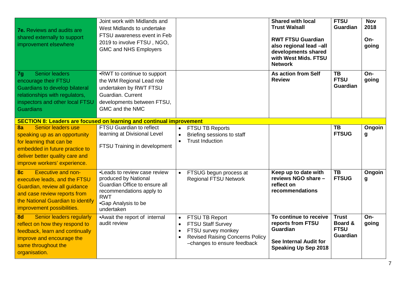| <b>7e.</b> Reviews and audits are<br>shared externally to support<br>improvement elsewhere                                                                                                                       | Joint work with Midlands and<br>West Midlands to undertake<br>FTSU awareness event in Feb<br>2019 to involve FTSU, NGO,<br><b>GMC and NHS Employers</b>              |                                                                                                                                                                                               | <b>Shared with local</b><br><b>Trust Walsall</b><br><b>RWT FTSU Guardian</b><br>also regional lead -all<br>developments shared<br>with West Mids. FTSU<br><b>Network</b> | <b>FTSU</b><br>Guardian                            | <b>Nov</b><br>2018<br>On-<br>going |
|------------------------------------------------------------------------------------------------------------------------------------------------------------------------------------------------------------------|----------------------------------------------------------------------------------------------------------------------------------------------------------------------|-----------------------------------------------------------------------------------------------------------------------------------------------------------------------------------------------|--------------------------------------------------------------------------------------------------------------------------------------------------------------------------|----------------------------------------------------|------------------------------------|
| Senior leaders<br>7g<br>encourage their FTSU<br>Guardians to develop bilateral<br>relationships with regulators,<br>inspectors and other local FTSU<br><b>Guardians</b>                                          | •RWT to continue to support<br>the WM Regional Lead role<br>undertaken by RWT FTSU<br>Guardian, Current<br>developments between FTSU,<br>GMC and the NMC             |                                                                                                                                                                                               | As action from Self<br><b>Review</b>                                                                                                                                     | <b>TB</b><br><b>FTSU</b><br><b>Guardian</b>        | On-<br>going                       |
| <b>SECTION 8: Leaders are focused on learning and continual improvement</b>                                                                                                                                      |                                                                                                                                                                      |                                                                                                                                                                                               |                                                                                                                                                                          |                                                    |                                    |
| Senior leaders use<br>8a<br>speaking up as an opportunity<br>for learning that can be<br>embedded in future practice to<br>deliver better quality care and<br>improve workers' experience.                       | <b>FTSU Guardian to reflect</b><br>learning at Divisional Level<br>FTSU Training in development                                                                      | <b>FTSU TB Reports</b><br>$\bullet$<br>Briefing sessions to staff<br>$\bullet$<br><b>Trust Induction</b><br>$\bullet$                                                                         |                                                                                                                                                                          | <b>TB</b><br><b>FTSUG</b>                          | Ongoin<br>g                        |
| <b>Executive and non-</b><br>8 <sub>c</sub><br>executive leads, and the FTSU<br>Guardian, review all guidance<br>and case review reports from<br>the National Guardian to identify<br>improvement possibilities. | •Leads to review case review<br>produced by National<br>Guardian Office to ensure all<br>recommendations apply to<br><b>RWT</b><br>•Gap Analysis to be<br>undertaken | FTSUG begun process at<br>$\bullet$<br><b>Regional FTSU Network</b>                                                                                                                           | Keep up to date with<br>reviews NGO share -<br>reflect on<br>recommendations                                                                                             | TB<br><b>FTSUG</b>                                 | Ongoin<br>g                        |
| <b>Senior leaders regularly</b><br>8d<br>reflect on how they respond to<br>feedback, learn and continually<br>improve and encourage the<br>same throughout the<br>organisation.                                  | • Await the report of internal<br>audit review                                                                                                                       | FTSU TB Report<br>$\bullet$<br><b>FTSU Staff Survey</b><br>$\bullet$<br>FTSU survey monkey<br>$\bullet$<br><b>Revised Raising Concerns Policy</b><br>$\bullet$<br>-changes to ensure feedback | To continue to receive<br>reports from FTSU<br><b>Guardian</b><br>See Internal Audit for<br><b>Speaking Up Sep 2018</b>                                                  | <b>Trust</b><br>Board &<br><b>FTSU</b><br>Guardian | On-<br>going                       |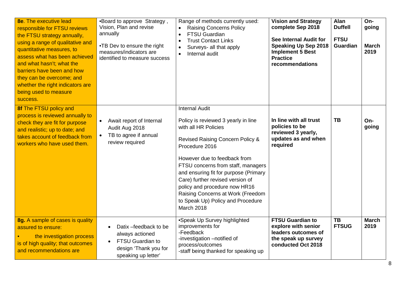| <b>8e.</b> The executive lead<br>responsible for FTSU reviews<br>the FTSU strategy annually,<br>using a range of qualitative and<br>quantitative measures, to<br>assess what has been achieved<br>and what hasn't; what the<br>barriers have been and how<br>they can be overcome; and<br>whether the right indicators are<br>being used to measure<br>success. | •Board to approve Strategy,<br>Vision, Plan and revise<br>annually<br>•TB Dev to ensure the right<br>measures/indicators are<br>identified to measure success | Range of methods currently used:<br><b>Raising Concerns Policy</b><br>$\bullet$<br><b>FTSU Guardian</b><br>$\bullet$<br><b>Trust Contact Links</b><br>$\bullet$<br>Surveys- all that apply<br>$\bullet$<br>Internal audit<br>$\bullet$                                                                                                                                                                                                   | <b>Vision and Strategy</b><br>complete Sep 2018<br>See Internal Audit for<br><b>Speaking Up Sep 2018</b><br><b>Implement 5 Best</b><br><b>Practice</b><br>recommendations | Alan<br><b>Duffell</b><br><b>FTSU</b><br><b>Guardian</b> | On-<br>going<br><b>March</b><br>2019 |
|-----------------------------------------------------------------------------------------------------------------------------------------------------------------------------------------------------------------------------------------------------------------------------------------------------------------------------------------------------------------|---------------------------------------------------------------------------------------------------------------------------------------------------------------|------------------------------------------------------------------------------------------------------------------------------------------------------------------------------------------------------------------------------------------------------------------------------------------------------------------------------------------------------------------------------------------------------------------------------------------|---------------------------------------------------------------------------------------------------------------------------------------------------------------------------|----------------------------------------------------------|--------------------------------------|
| 8f The FTSU policy and<br>process is reviewed annually to<br>check they are fit for purpose<br>and realistic; up to date; and<br>takes account of feedback from<br>workers who have used them.                                                                                                                                                                  | Await report of Internal<br>$\bullet$<br>Audit Aug 2018<br>TB to agree if annual<br>$\bullet$<br>review required                                              | <b>Internal Audit</b><br>Policy is reviewed 3 yearly in line<br>with all HR Policies<br><b>Revised Raising Concern Policy &amp;</b><br>Procedure 2016<br>However due to feedback from<br>FTSU concerns from staff, managers<br>and ensuring fit for purpose (Primary<br>Care) further revised version of<br>policy and procedure now HR16<br>Raising Concerns at Work (Freedom<br>to Speak Up) Policy and Procedure<br><b>March 2018</b> | In line with all trust<br>policies to be<br>reviewed 3 yearly,<br>updates as and when<br>required                                                                         | TB                                                       | On-<br>going                         |
| 8g. A sample of cases is quality<br>assured to ensure:<br>the investigation process<br>is of high quality; that outcomes<br>and recommendations are                                                                                                                                                                                                             | Datix -feedback to be<br>always actioned<br><b>FTSU Guardian to</b><br>design 'Thank you for<br>speaking up letter'                                           | •Speak Up Survey highlighted<br>improvements for<br>-Feedback<br>-investigation -notified of<br>process/outcomes<br>-staff being thanked for speaking up                                                                                                                                                                                                                                                                                 | <b>FTSU Guardian to</b><br>explore with senior<br>leaders outcomes of<br>the speak up survey<br>conducted Oct 2018                                                        | $\overline{\text{TB}}$<br><b>FTSUG</b>                   | <b>March</b><br>2019                 |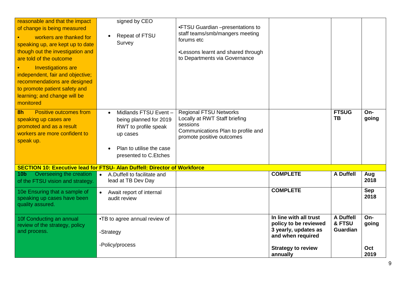| reasonable and that the impact<br>of change is being measured<br>workers are thanked for<br>speaking up, are kept up to date<br>though out the investigation and<br>are told of the outcome<br><b>Investigations are</b><br>independent, fair and objective;<br>recommendations are designed<br>to promote patient safety and<br>learning; and change will be<br>monitored | signed by CEO<br>Repeat of FTSU<br>Survey                                                                                                            | •FTSU Guardian -presentations to<br>staff teams/smb/mangers meeting<br>forums etc<br>•Lessons learnt and shared through<br>to Departments via Governance |                                                                                              |                                               |                    |  |  |  |  |
|----------------------------------------------------------------------------------------------------------------------------------------------------------------------------------------------------------------------------------------------------------------------------------------------------------------------------------------------------------------------------|------------------------------------------------------------------------------------------------------------------------------------------------------|----------------------------------------------------------------------------------------------------------------------------------------------------------|----------------------------------------------------------------------------------------------|-----------------------------------------------|--------------------|--|--|--|--|
| <b>Positive outcomes from</b><br>8h<br>speaking up cases are<br>promoted and as a result<br>workers are more confident to<br>speak up.                                                                                                                                                                                                                                     | Midlands FTSU Event-<br>$\bullet$<br>being planned for 2019<br>RWT to profile speak<br>up cases<br>Plan to utilise the case<br>presented to C.Etches | <b>Regional FTSU Networks</b><br>Locally at RWT Staff briefing<br>sessions<br>Communications Plan to profile and<br>promote positive outcomes            |                                                                                              | <b>FTSUG</b><br><b>TB</b>                     | On-<br>going       |  |  |  |  |
| <b>SECTION 10: Executive lead for FTSU- Alan Duffell: Director of Workforce</b>                                                                                                                                                                                                                                                                                            |                                                                                                                                                      |                                                                                                                                                          |                                                                                              |                                               |                    |  |  |  |  |
| Overseeing the creation<br>10 <sub>b</sub><br>of the FTSU vision and strategy.                                                                                                                                                                                                                                                                                             | A.Duffell to facilitate and<br>lead at TB Dev Day                                                                                                    |                                                                                                                                                          | <b>COMPLETE</b>                                                                              | <b>A Duffell</b>                              | Aug<br>2018        |  |  |  |  |
| 10e Ensuring that a sample of<br>speaking up cases have been<br>quality assured.                                                                                                                                                                                                                                                                                           | Await report of internal<br>audit review                                                                                                             |                                                                                                                                                          | <b>COMPLETE</b>                                                                              |                                               | <b>Sep</b><br>2018 |  |  |  |  |
| 10f Conducting an annual<br>review of the strategy, policy<br>and process.                                                                                                                                                                                                                                                                                                 | •TB to agree annual review of<br>-Strategy                                                                                                           |                                                                                                                                                          | In line with all trust<br>policy to be reviewed<br>3 yearly, updates as<br>and when required | <b>A Duffell</b><br>& FTSU<br><b>Guardian</b> | On-<br>going       |  |  |  |  |
|                                                                                                                                                                                                                                                                                                                                                                            | -Policy/process                                                                                                                                      |                                                                                                                                                          | <b>Strategy to review</b><br>annually                                                        |                                               | Oct<br>2019        |  |  |  |  |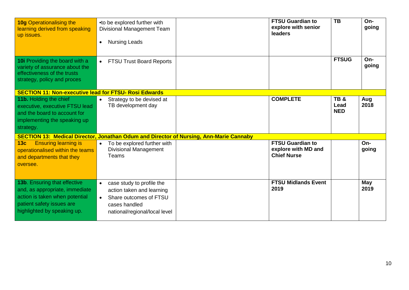| <b>10g Operationalising the</b><br>learning derived from speaking<br>up issues.                                                                              | •to be explored further with<br><b>Divisional Management Team</b><br><b>Nursing Leads</b><br>$\bullet$                                                       |  | <b>FTSU Guardian to</b><br>explore with senior<br>leaders            | <b>TB</b>                 | On-<br>going       |  |  |  |  |
|--------------------------------------------------------------------------------------------------------------------------------------------------------------|--------------------------------------------------------------------------------------------------------------------------------------------------------------|--|----------------------------------------------------------------------|---------------------------|--------------------|--|--|--|--|
| 10i Providing the board with a<br>variety of assurance about the<br>effectiveness of the trusts<br>strategy, policy and proces                               | <b>FTSU Trust Board Reports</b><br>$\bullet$                                                                                                                 |  |                                                                      | <b>FTSUG</b>              | On-<br>going       |  |  |  |  |
| <b>SECTION 11: Non-executive lead for FTSU- Rosi Edwards</b>                                                                                                 |                                                                                                                                                              |  |                                                                      |                           |                    |  |  |  |  |
| 11b. Holding the chief<br>executive, executive FTSU lead<br>and the board to account for<br>implementing the speaking up<br>strategy.                        | Strategy to be devised at<br>$\bullet$<br>TB development day                                                                                                 |  | <b>COMPLETE</b>                                                      | TB&<br>Lead<br><b>NED</b> | Aug<br>2018        |  |  |  |  |
| <b>SECTION 13: Medical Director, Jonathan Odum and Director of Nursing, Ann-Marie Cannaby</b>                                                                |                                                                                                                                                              |  |                                                                      |                           |                    |  |  |  |  |
| <b>Ensuring learning is</b><br>13 <sub>c</sub><br>operationalised within the teams<br>and departments that they<br>oversee.                                  | To be explored further with<br>$\bullet$<br><b>Divisional Management</b><br>Teams                                                                            |  | <b>FTSU Guardian to</b><br>explore with MD and<br><b>Chief Nurse</b> |                           | On-<br>going       |  |  |  |  |
| 13b. Ensuring that effective<br>and, as appropriate, immediate<br>action is taken when potential<br>patient safety issues are<br>highlighted by speaking up. | case study to profile the<br>$\bullet$<br>action taken and learning<br>Share outcomes of FTSU<br>$\bullet$<br>cases handled<br>national/regional/local level |  | <b>FTSU Midlands Event</b><br>2019                                   |                           | <b>May</b><br>2019 |  |  |  |  |